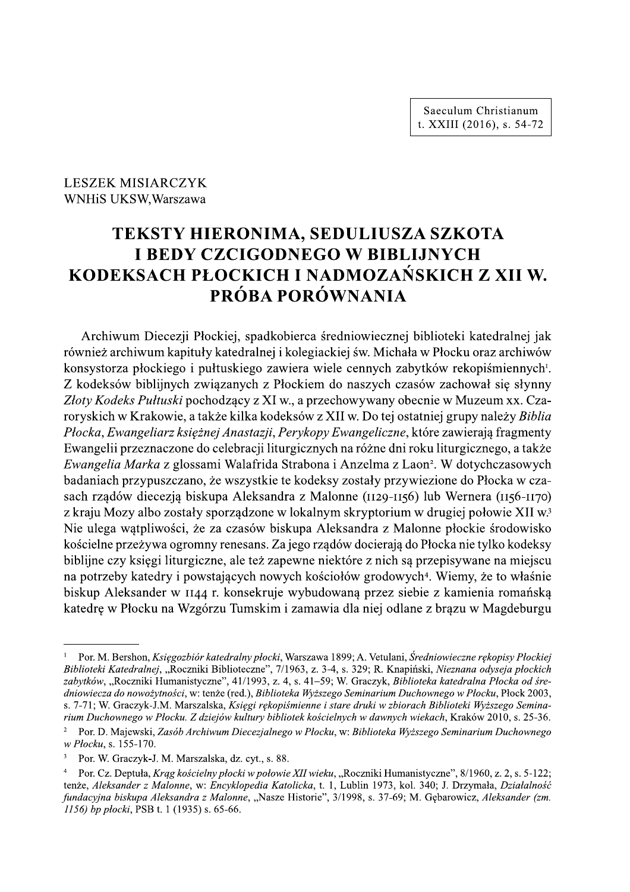Saeculum Christianum t. XXIII (2016), s. 54-72

# **LESZEK MISIARCZYK** WNHiS UKSW, Warszawa

# TEKSTY HIERONIMA, SEDULIUSZA SZKOTA **I BEDY CZCIGODNEGO W BIBLIJNYCH** KODEKSACH PŁOCKICH I NADMOZAŃSKICH Z XII W. PRÓBA PORÓWNANIA

Archiwum Diecezji Płockiej, spadkobierca średniowiecznej biblioteki katedralnej jak również archiwum kapituły katedralnej i kolegiackiej św. Michała w Płocku oraz archiwów konsystorza płockiego i pułtuskiego zawiera wiele cennych zabytków rekopiśmiennych<sup>1</sup>. Z kodeksów biblijnych związanych z Płockiem do naszych czasów zachował się słynny Złoty Kodeks Pułtuski pochodzacy z XI w., a przechowywany obecnie w Muzeum xx. Czaroryskich w Krakowie, a także kilka kodeksów z XII w. Do tej ostatniej grupy należy Biblia Płocka, Ewangeliarz księżnej Anastazji, Perykopy Ewangeliczne, które zawierają fragmenty Ewangelii przeznaczone do celebracji liturgicznych na różne dni roku liturgicznego, a także Ewangelia Marka z glossami Walafrida Strabona i Anzelma z Laon<sup>2</sup>. W dotychczasowych badaniach przypuszczano, że wszystkie te kodeksy zostały przywiezione do Płocka w czasach rządów diecezją biskupa Aleksandra z Malonne (1129-1156) lub Wernera (1156-1170) z kraju Mozy albo zostały sporządzone w lokalnym skryptorium w drugiej połowie XII w.<sup>3</sup> Nie ulega wątpliwości, że za czasów biskupa Aleksandra z Malonne płockie środowisko kościelne przeżywa ogromny renesans. Za jego rządów docierają do Płocka nie tylko kodeksy biblijne czy księgi liturgiczne, ale też zapewne niektóre z nich są przepisywane na miejscu na potrzeby katedry i powstających nowych kościołów grodowych<sup>4</sup>. Wiemy, że to właśnie biskup Aleksander w 1144 r. konsekruje wybudowaną przez siebie z kamienia romańską katedre w Płocku na Wzgórzu Tumskim i zamawia dla niej odlane z brazu w Magdeburgu

Por. M. Bershon, Księgozbiór katedralny płocki, Warszawa 1899; A. Vetulani, Średniowieczne rękopisy Płockiei Biblioteki Katedralnej, "Roczniki Biblioteczne", 7/1963, z. 3-4, s. 329; R. Knapiński, Nieznana odyseja płockich zabytków, "Roczniki Humanistyczne", 41/1993, z. 4, s. 41–59; W. Graczyk, Biblioteka katedralna Płocka od średniowiecza do nowożytności, w: tenże (red.), Biblioteka Wyższego Seminarium Duchownego w Płocku, Płock 2003, s. 7-71; W. Graczyk-J.M. Marszalska, Ksiegi rekopiśmienne i stare druki w zbiorach Biblioteki Wyższego Seminarium Duchownego w Płocku. Z dziejów kultury bibliotek kościelnych w dawnych wiekach, Kraków 2010, s. 25-36.

 $\overline{2}$ Por. D. Majewski, Zasób Archiwum Diecezjalnego w Płocku, w: Biblioteka Wyższego Seminarium Duchownego w Płocku, s. 155-170.

 $\overline{3}$ Por. W. Graczyk-J. M. Marszalska, dz. cyt., s. 88.

Por. Cz. Deptuła, Krag kościelny płocki w połowie XII wieku, "Roczniki Humanistyczne", 8/1960, z. 2, s. 5-122;  $\overline{4}$ tenże, Aleksander z Malonne, w: Encyklopedia Katolicka, t. 1, Lublin 1973, kol. 340; J. Drzymała, Działalność fundacyjna biskupa Aleksandra z Malonne, "Nasze Historie", 3/1998, s. 37-69; M. Gębarowicz, Aleksander (zm. 1156) bp plocki, PSB t. 1 (1935) s. 65-66.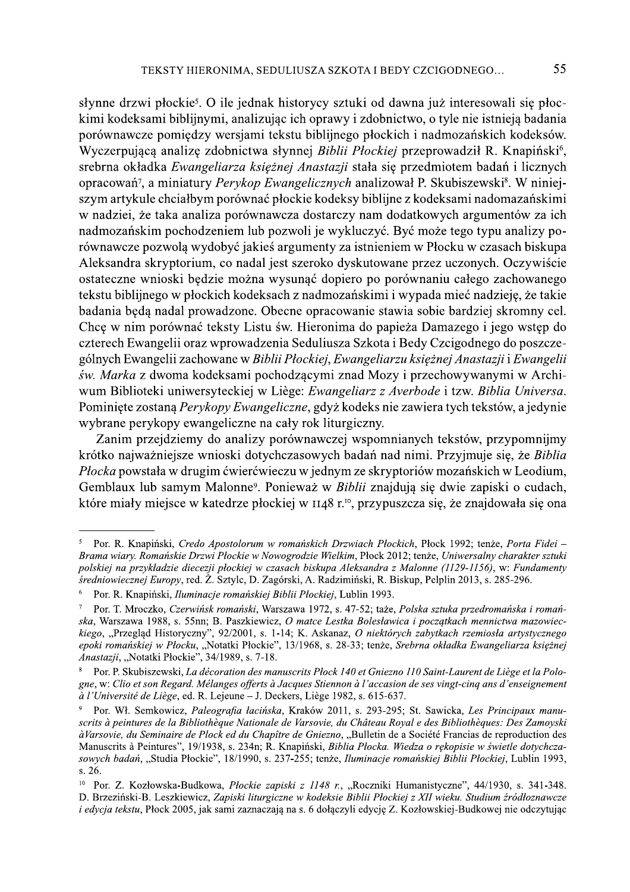słynne drzwi płockie<sup>5</sup>. O ile jednak historycy sztuki od dawna już interesowali się płockimi kodeksami biblijnymi, analizując ich oprawy i zdobnictwo, o tyle nie istnieją badania porównawcze pomiędzy wersjami tekstu biblijnego płockich i nadmozańskich kodeksów. Wyczerpującą analizę zdobnictwa słynnej Biblii Płockiej przeprowadził R. Knapiński<sup>6</sup>, srebrna okładka Ewangeliarza księżnej Anastazji stała się przedmiotem badań i licznych opracowań<sup>7</sup>, a miniatury *Perykop Ewangelicznych* analizował P. Skubiszewski<sup>8</sup>. W niniejszym artykule chciałbym porównać płockie kodeksy biblijne z kodeksami nadomazańskimi w nadziej, że taka analiza porównawcza dostarczy nam dodatkowych argumentów za ich nadmozańskim pochodzeniem lub pozwoli je wykluczyć. Być może tego typu analizy porównawcze pozwolą wydobyć jakieś argumenty za istnieniem w Płocku w czasach biskupa Aleksandra skryptorium, co nadal jest szeroko dyskutowane przez uczonych. Oczywiście ostateczne wnioski będzie można wysunąć dopiero po porównaniu całego zachowanego tekstu biblijnego w płockich kodeksach z nadmozańskimi i wypada mieć nadzieję, że takie badania będą nadal prowadzone. Obecne opracowanie stawia sobie bardziej skromny cel. Chce w nim porównać teksty Listu św. Hieronima do papieża Damazego i jego wstęp do czterech Ewangelii oraz wprowadzenia Seduliusza Szkota i Bedy Czcigodnego do poszczególnych Ewangelii zachowane w Biblii Płockiej, Ewangeliarzu księżnej Anastazji i Ewangelii św. Marka z dwoma kodeksami pochodzącymi znad Mozy i przechowywanymi w Archiwum Biblioteki uniwersyteckiej w Liège: Ewangeliarz z Averbode i tzw. Biblia Universa. Pominiete zostaną Perykopy Ewangeliczne, gdyż kodeks nie zawiera tych tekstów, a jedynie wybrane perykopy ewangeliczne na cały rok liturgiczny.

Zanim przejdziemy do analizy porównawczej wspomnianych tekstów, przypomnijmy krótko najważniejsze wnioski dotychczasowych badań nad nimi. Przyjmuje się, że Biblia Płocka powstała w drugim ćwierćwieczu w jednym ze skryptoriów mozańskich w Leodium, Gemblaux lub samym Malonne<sup>9</sup>. Ponieważ w *Biblii* znajdują się dwie zapiski o cudach, które miały miejsce w katedrze płockiej w 1148 r.<sup>10</sup>, przypuszcza się, że znajdowała się ona

Por. R. Knapiński, Credo Apostolorum w romańskich Drzwiach Plockich, Płock 1992; tenże, Porta Fidei -Brama wiary. Romańskie Drzwi Płockie w Nowogrodzie Wielkim, Płock 2012; tenże, Uniwersalny charakter sztuki polskiej na przykładzie diecezji płockiej w czasach biskupa Aleksandra z Malonne (1129-1156), w: Fundamenty średniowiecznej Europy, red. Ż. Sztylc, D. Zagórski, A. Radzimiński, R. Biskup, Pelplin 2013, s. 285-296.

 $\overline{6}$ Por. R. Knapiński, Iluminacje romańskiej Biblii Płockiej, Lublin 1993.

 $\tau$ Por. T. Mroczko, Czerwińsk romański, Warszawa 1972, s. 47-52; taże, Polska sztuka przedromańska i romańska, Warszawa 1988, s. 55nn; B. Paszkiewicz, O matce Lestka Bolesławica i poczatkach mennictwa mazowieckiego, "Przeglad Historyczny", 92/2001, s. 1-14; K. Askanaz, O niektórych zabytkach rzemiosła artystycznego epoki romańskiej w Płocku, "Notatki Płockie", 13/1968, s. 28-33; tenże, Srebrna okładka Ewangeliarza księżnej Anastazji, "Notatki Płockie", 34/1989, s. 7-18.

Por. P. Skubiszewski, La décoration des manuscrits Plock 140 et Gniezno 110 Saint-Laurent de Liège et la Pologne, w: Clio et son Regard. Mélanges offerts à Jacques Stiennon à l'accasion de ses vingt-cinq ans d'enseignement à l'Université de Liège, ed. R. Lejeune - J. Deckers, Liège 1982, s. 615-637.

Por. Wł. Semkowicz, Paleografia łacińska, Kraków 2011, s. 293-295; St. Sawicka, Les Principaux manuscrits à peintures de la Bibliothèque Nationale de Varsovie, du Château Royal e des Bibliothèques: Des Zamoyski àVarsovie, du Seminaire de Plock ed du Chapître de Gniezno, "Bulletin de a Société Francias de reproduction des Manuscrits à Peintures", 19/1938, s. 234n; R. Knapiński, Biblia Płocka. Wiedza o rękopisie w świetle dotychczasowych badań, "Studia Płockie", 18/1990, s. 237-255; tenże, Iluminacje romańskiej Biblii Płockiej, Lublin 1993, s. 26.

 $10\,$ Por. Z. Kozłowska-Budkowa, Płockie zapiski z 1148 r., "Roczniki Humanistyczne", 44/1930, s. 341-348. D. Brzeziński-B. Leszkiewicz, Zapiski liturgiczne w kodeksie Biblii Płockiej z XII wieku. Studium źródłoznawcze *i edvcja tekstu*, Płock 2005, jak sami zaznaczają na s. 6 dołaczyli edvcję Z. Kozłowskiej-Budkowej nie odczytując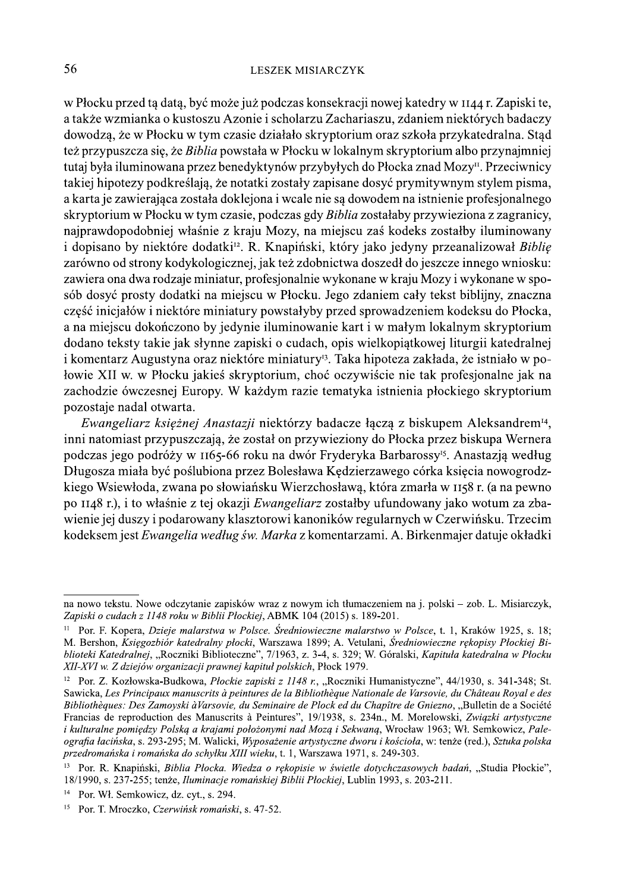#### **LESZEK MISIARCZYK**

w Płocku przed tą datą, być może już podczas konsekracji nowej katedry w 1144 r. Zapiski te, a także wzmianka o kustoszu Azonie i scholarzu Zachariaszu, zdaniem niektórych badaczy dowodzą, że w Płocku w tym czasie działało skryptorium oraz szkoła przykatedralna. Stad też przypuszcza się, że Biblia powstała w Płocku w lokalnym skryptorium albo przynajmniej tutaj była iluminowana przez benedyktynów przybyłych do Płocka znad Mozy<sup>11</sup>. Przeciwnicy takiej hipotezy podkreślają, że notatki zostały zapisane dosyć prymitywnym stylem pisma, a karta je zawierająca została doklejona i wcale nie są dowodem na istnienie profesjonalnego skryptorium w Płocku w tym czasie, podczas gdy Biblia zostałaby przywieziona z zagranicy, najprawdopodobniej właśnie z kraju Mozy, na miejscu zaś kodeks zostałby iluminowany i dopisano by niektóre dodatki<sup>12</sup>. R. Knapiński, który jako jedyny przeanalizował Biblię zarówno od strony kodykologicznej, jak też zdobnictwa doszedł do jeszcze innego wniosku: zawiera ona dwa rodzaje miniatur, profesjonalnie wykonane w kraju Mozy i wykonane w sposób dosyć prosty dodatki na miejscu w Płocku. Jego zdaniem cały tekst biblijny, znaczna część inicjałów i niektóre miniatury powstałyby przed sprowadzeniem kodeksu do Płocka, a na miejscu dokończono by jedynie iluminowanie kart i w małym lokalnym skryptorium dodano teksty takie jak słynne zapiski o cudach, opis wielkopiątkowej liturgii katedralnej i komentarz Augustyna oraz niektóre miniatury<sup>13</sup>. Taka hipoteza zakłada, że istniało w połowie XII w. w Płocku jakieś skryptorium, choć oczywiście nie tak profesjonalne jak na zachodzie ówczesnej Europy. W każdym razie tematyka istnienia płockiego skryptorium pozostaje nadal otwarta.

Ewangeliarz księżnej Anastazji niektórzy badacze łączą z biskupem Aleksandrem<sup>14</sup>, inni natomiast przypuszczają, że został on przywieziony do Płocka przez biskupa Wernera podczas jego podróży w 1165-66 roku na dwór Fryderyka Barbarossy<sup>15</sup>. Anastazją według Długosza miała być poślubiona przez Bolesława Kędzierzawego córka księcia nowogrodzkiego Wsiewłoda, zwana po słowiańsku Wierzchosławą, która zmarła w 1158 r. (a na pewno po 1148 r.), i to właśnie z tej okazji Ewangeliarz zostałby ufundowany jako wotum za zbawienie jej duszy i podarowany klasztorowi kanoników regularnych w Czerwińsku. Trzecim kodeksem jest Ewangelia według św. Marka z komentarzami. A. Birkenmajer datuje okładki

na nowo tekstu. Nowe odczytanie zapisków wraz z nowym ich tłumaczeniem na j. polski – zob. L. Misiarczyk, Zapiski o cudach z 1148 roku w Biblii Płockiej, ABMK 104 (2015) s. 189-201.

<sup>&</sup>lt;sup>11</sup> Por. F. Kopera, *Dzieje malarstwa w Polsce, Średniowieczne malarstwo w Polsce*, t. 1, Kraków 1925, s. 18; M. Bershon, Księgozbiór katedralny płocki, Warszawa 1899; A. Vetulani, Średniowieczne rękopisy Płockiej Biblioteki Katedralnej, "Roczniki Biblioteczne", 7/1963, z. 3-4, s. 329; W. Góralski, Kapituła katedralna w Płocku XII-XVI w. Z dziejów organizacji prawnej kapituł polskich, Płock 1979.

<sup>&</sup>lt;sup>12</sup> Por. Z. Kozłowska-Budkowa, *Płockie zapiski z 1148 r.*, "Roczniki Humanistyczne", 44/1930, s. 341-348; St. Sawicka, Les Principaux manuscrits à peintures de la Bibliothèque Nationale de Varsovie, du Château Royal e des Bibliothèques: Des Zamoyski àVarsovie, du Seminaire de Plock ed du Chapître de Gniezno, "Bulletin de a Société Francias de reproduction des Manuscrits à Peintures", 19/1938, s. 234n., M. Morelowski, Związki artystyczne i kulturalne pomiędzy Polską a krajami położonymi nad Mozą i Sekwaną, Wrocław 1963; Wł. Semkowicz, Paleografia łacińska, s. 293-295; M. Walicki, Wyposażenie artystyczne dworu i kościoła, w: tenże (red.), Sztuka polska przedromańska i romańska do schyłku XIII wieku, t. 1, Warszawa 1971, s. 249-303.

<sup>13</sup> Por. R. Knapiński, Biblia Płocka. Wiedza o rękopisie w świetle dotychczasowych badań, "Studia Płockie", 18/1990, s. 237-255; tenże, Iluminacje romańskiej Biblii Płockiej, Lublin 1993, s. 203-211.

 $14$ Por. Wł. Semkowicz, dz. cyt., s. 294.

<sup>15</sup> Por. T. Mroczko, Czerwińsk romański, s. 47-52.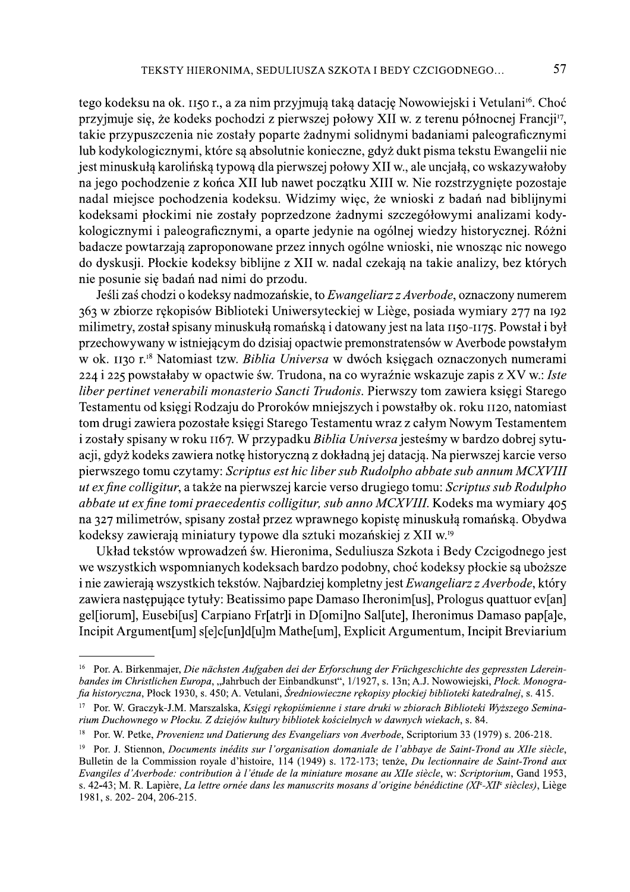TEKSTY HIERONIMA, SEDULIUSZA SZKOTA I BEDY CZCIGODNEGO...<br>
1990 kodeksu na ok. 1150 r., a za nim przyjmują taką datacje Nowowiejski i Vetulani\*. Choć przyjmuje się, że kodeks pochodzi z pierwszej połowy XII w. z terenu pó

przyjnugs się, ze totock pomorał z prewszez ponowy XII w. z terenu pomoreny rrangi n;<br>takie przypuszczenia nie zostały poparte żadnymi solidnymi bdaniami plalograficznymi<br>lub kodykologicznymi, które są absolutnie konieczne badacze powtarzają zaproponowane przez mnych ogome wmoski, me wnosząc ne nowego<br>do dyskusji. Plockie kodeksy biblijne z XII w. nadal czekają na takie analizy, bez których<br>dnie posunie się badań nad nimi do przodu.<br>Jeśli za Testamentu od księgi Rodzaju do Proroków mniejszych i powstałby ok. roku 1120, natomiast<br>tom drugi zawiera pozostałe księgi Starego Testamentu wraz z całym Nowym Testamentem The positive is poatal nata numi ou oprzout.<br>
Jeśli zaś chodzi o kodeksy nadmozańskie, to *Ewangeliarz z Averbode*, oznaczony numerem<br>
363 w zbiorze rękopisów Biblioteki Uniwersyteckiej w Liège, posiada wymiary 277 na 192<br> ozanskie, to *Ewangeliarz z Averboae*, oznaczony numi i Uniwersyteckiej w Liège, posiada wymiary 277 r<br>a romańską i datowany jest na lata 1150-1175. Powsta<br>Izisiaj opactwie premonstratensów w Averbode powsta<br>Izisiaj opactw gay wanter epapirsan minubakul romanskoj datewary jest na kata 190-1175 Powstał i był minubatry, został spisany minuskulą romanskoj datewary jest na lata 190-1175 Powstał i był<br>przekowa ywany w skiniejscym do dzisią opache

s. 42-43; M. R. Lapière, La lettre ornée dans les manuscrits mosans d'origine bénédictine (XI°-XII° siècles), Liège 1981, s. 202-204, 206-215.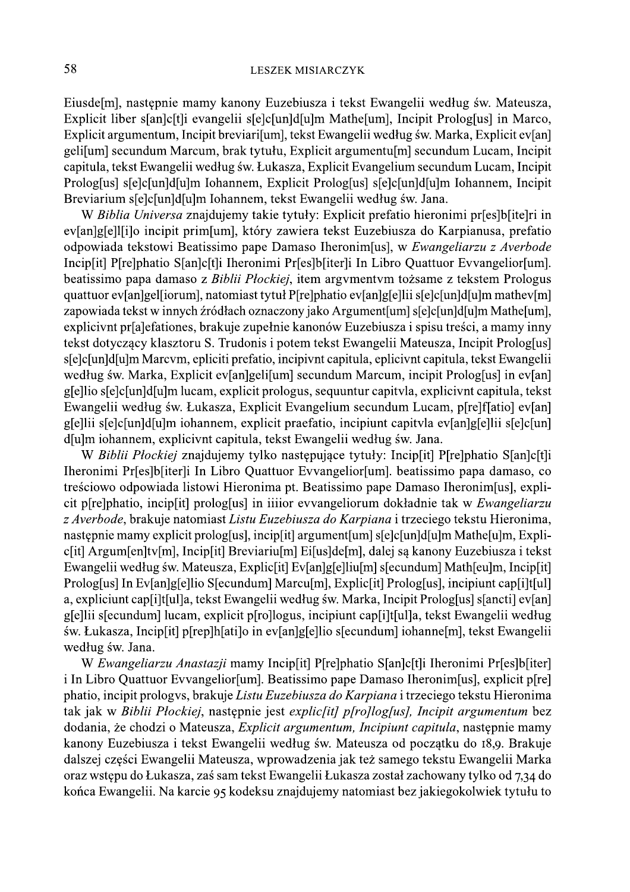Eiusde<sup>[m]</sup>, następnie mamy kanony Euzebiusza i tekst Ewangelii według św. Mateusza, Explicit liber s[an]c[t]i evangelii s[e]c[un]d[u]m Mathe[um], Incipit Prolog[us] in Marco, Explicit argumentum, Incipit breviari [um], tekst Ewangelii według św. Marka, Explicit ev [an] geli[um] secundum Marcum, brak tytułu, Explicit argumentu[m] secundum Lucam, Incipit capitula, tekst Ewangelii według św. Łukasza, Explicit Evangelium secundum Lucam, Incipit Prolog[us] s[e]c[un]d[u]m Iohannem, Explicit Prolog[us] s[e]c[un]d[u]m Iohannem, Incipit Breviarium s[e]c[un]d[u]m Iohannem, tekst Ewangelii według św. Jana.

W Biblia Universa znajdujemy takie tytuły: Explicit prefatio hieronimi pr[es]b[ite]ri in ev[an]g[e]][i]o incipit prim[um], który zawiera tekst Euzebiusza do Karpianusa, prefatio odpowiada tekstowi Beatissimo pape Damaso Iheronim[us], w Ewangeliarzu z Averbode Incip[it] P[re]phatio S[an]c[t]i Iheronimi Pr[es]b[iter]i In Libro Quattuor Evvangelior[um]. beatissimo papa damaso z Biblii Płockiej, item argymentym tożsame z tekstem Prologus quattuor ev[an]gel[iorum], natomiast tytuł P[re]phatio ev[an]g[e]lii s[e]c[un]d[u]m mathev[m] zapowiada tekst w innych źródłach oznaczony jako Argument[um] s[e]c[un]d[u]m Mathe[um], explicivnt pr[a]efationes, brakuje zupełnie kanonów Euzebiusza i spisu treści, a mamy inny tekst dotyczący klasztoru S. Trudonis i potem tekst Ewangelii Mateusza, Incipit Prolog[us] s[e]c[un]d[u]m Marcvm, epliciti prefatio, incipivnt capitula, eplicivnt capitula, tekst Ewangelii według św. Marka, Explicit ev[an]geli[um] secundum Marcum, incipit Prolog[us] in ev[an] g[e]lio s[e]c[un]d[u]m lucam, explicit prologus, sequuntur capityla, explicivnt capitula, tekst Ewangelii według św. Łukasza, Explicit Evangelium secundum Lucam, p[re]f[atio] ev[an] g[e]lii s[e]c[un]d[u]m iohannem, explicit praefatio, incipiunt capityla ev[an]g[e]lii s[e]c[un] d[u]m iohannem, explicivnt capitula, tekst Ewangelii według św. Jana.

W Biblii Płockiej znajdujemy tylko następujące tytuły: Incip[it] P[re]phatio S[an]c[t]i Iheronimi Pr[es]b[iter]i In Libro Quattuor Evvangelior[um]. beatissimo papa damaso, co treściowo odpowiada listowi Hieronima pt. Beatissimo pape Damaso Iheronim[us], explicit p[re]phatio, incip[it] prolog[us] in iiiior evvangeliorum dokładnie tak w Ewangeliarzu z Averbode, brakuje natomiast Listu Euzebiusza do Karpiana i trzeciego tekstu Hieronima, następnie mamy explicit prolog[us], incip[it] argument[um] s[e]c[un]d[u]m Mathe[u]m, Explic[it] Argum[en]tv[m], Incip[it] Breviariu[m] Ei[us]de[m], dalej są kanony Euzebiusza i tekst Ewangelii według św. Mateusza, Explic<sup>[it]</sup> Ev[an]g[e]liu[m] s[ecundum] Math[eu]m, Incip[it] Prolog[us] In Ev[an]g[e]lio S[ecundum] Marcu[m], Explic[it] Prolog[us], incipiunt cap[i]t[ul] a, expliciunt cap<sup>[1]</sup>[1][ul]a, tekst Ewangelii według św. Marka, Incipit Prolog[us] s[ancti] ev[an] g[e]lii s[ecundum] lucam, explicit p[ro]logus, incipiunt cap[i]t[ul]a, tekst Ewangelii według św. Łukasza, Incip[it] p[rep]h[ati]o in ev[an]g[e]lio s[ecundum] iohanne[m], tekst Ewangelii według św. Jana.

W Ewangeliarzu Anastazji mamy Incip[it] P[re]phatio S[an]c[t]i Iheronimi Pr[es]b[iter] i In Libro Quattuor Evvangelior[um]. Beatissimo pape Damaso Iheronim[us], explicit p[re] phatio, incipit prologys, brakuje Listu Euzebiusza do Karpiana i trzeciego tekstu Hieronima tak jak w Biblii Płockiej, następnie jest explic[it] p[ro]log[us], Incipit argumentum bez dodania, że chodzi o Mateusza, Explicit argumentum, Incipiunt capitula, następnie mamy kanony Euzebiusza i tekst Ewangelii według św. Mateusza od początku do 18,9. Brakuje dalszej części Ewangelii Mateusza, wprowadzenia jak też samego tekstu Ewangelii Marka oraz wstępu do Łukasza, zaś sam tekst Ewangelii Łukasza został zachowany tylko od 7,34 do końca Ewangelii. Na karcie 95 kodeksu znajdujemy natomiast bez jakiegokolwiek tytułu to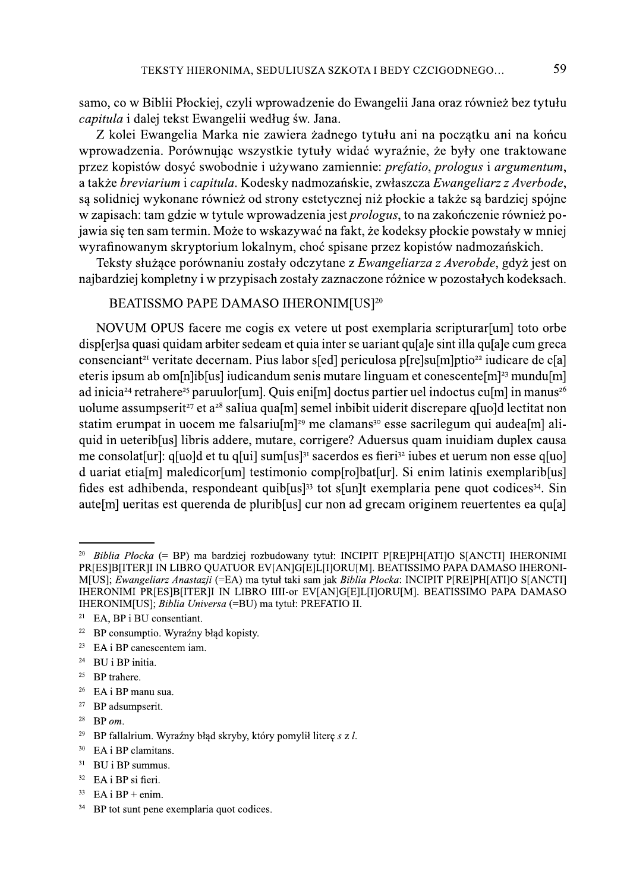samo, co w Biblii Płockiej, czyli wprowadzenie do Ewangelii Jana oraz również bez tytułu capitula i dalej tekst Ewangelii według św. Jana.

Z kolei Ewangelia Marka nie zawiera żadnego tytułu ani na początku ani na końcu wprowadzenia. Porównując wszystkie tytuły widać wyraźnie, że były one traktowane przez kopistów dosyć swobodnie i używano zamiennie: *prefatio*, *prologus* i *argumentum*, a także breviarium i capitula. Kodesky nadmozańskie, zwłaszcza Ewangeliarz z Averbode, są solidniej wykonane również od strony estetycznej niż płockie a także są bardziej spójne w zapisach: tam gdzie w tytule wprowadzenia jest *prologus*, to na zakończenie również pojawia się ten sam termin. Może to wskazywać na fakt, że kodeksy płockie powstały w mniej wyrafinowanym skryptorium lokalnym, choć spisane przez kopistów nadmozańskich.

Teksty służące porównaniu zostały odczytane z Ewangeliarza z Averobde, gdyż jest on najbardziej kompletny i w przypisach zostały zaznaczone różnice w pozostałych kodeksach.

## BEATISSMO PAPE DAMASO IHERONIM[US]<sup>20</sup>

NOVUM OPUS facere me cogis ex vetere ut post exemplaria scripturar [um] toto orbe displerlsa quasi quidam arbiter sedeam et quia inter se uariant qu[a]e sint illa qu[a]e cum greca consenciant<sup>21</sup> veritate decernam. Pius labor s[ed] periculosa p[re]su[m]ptio<sup>22</sup> iudicare de c[a] eteris ipsum ab om[n]ib[us] iudicandum senis mutare linguam et conescente[m]<sup>23</sup> mundu[m] ad inicia<sup>24</sup> retrahere<sup>25</sup> paruulor[um]. Quis eni[m] doctus partier uel indoctus cu[m] in manus<sup>26</sup> uolume assumpserit<sup>27</sup> et a<sup>28</sup> saliua qua[m] semel inbibit uiderit discrepare q[uo]d lectitat non statim erumpat in uocem me falsariu $[m]^{29}$  me clamans<sup>30</sup> esse sacrilegum qui audea $[m]$  aliquid in ueterib[us] libris addere, mutare, corrigere? Aduersus quam inuidiam duplex causa me consolat[ur]: q[uo]d et tu q[ui] sum[us]<sup>31</sup> sacerdos es fieri<sup>32</sup> iubes et uerum non esse q[uo] d uariat etia[m] maledicor[um] testimonio comp[ro]bat[ur]. Si enim latinis exemplarib[us] fides est adhibenda, respondeant quib[us]<sup>33</sup> tot s[un]t exemplaria pene quot codices<sup>34</sup>. Sin autelm ueritas est querenda de pluriblus cur non ad grecam originem reuertentes ea quia

- <sup>22</sup> BP consumptio. Wyraźny błąd kopisty.
- 23 EA i BP canescentem iam.
- <sup>24</sup> BU i BP initia.
- <sup>25</sup> BP trahere.
- <sup>26</sup> EA i BP manu sua.
- <sup>27</sup> BP adsumpserit.
- <sup>28</sup> BP  $om$ .
- <sup>29</sup> BP fallalrium. Wyraźny błąd skryby, który pomylił literę s z l.
- 30 EA i BP clamitans.
- $31$  BU i BP summus.
- $32$  EA i BP si fieri.
- <sup>33</sup> EA i BP + enim.
- 34 BP tot sunt pene exemplaria quot codices.

<sup>20</sup> Biblia Płocka (= BP) ma bardziej rozbudowany tytuł: INCIPIT P[RE]PH[ATI]O S[ANCTI] IHERONIMI PRIES]BIITER]I IN LIBRO QUATUOR EVIAN]GIE]L[I]ORU[M]. BEATISSIMO PAPA DAMASO IHERONI-M[US]; Ewangeliarz Anastazji (=EA) ma tytuł taki sam jak Biblia Plocka: INCIPIT P[RE]PH[ATI]O S[ANCTI] IHERONIMI PRIESIBIITERII IN LIBRO IIII-or EVIANIGIEILIIIORUIMI. BEATISSIMO PAPA DAMASO IHERONIMIUS]; Biblia Universa (=BU) ma tytuł: PREFATIO II.

<sup>&</sup>lt;sup>21</sup> EA, BP i BU consentiant.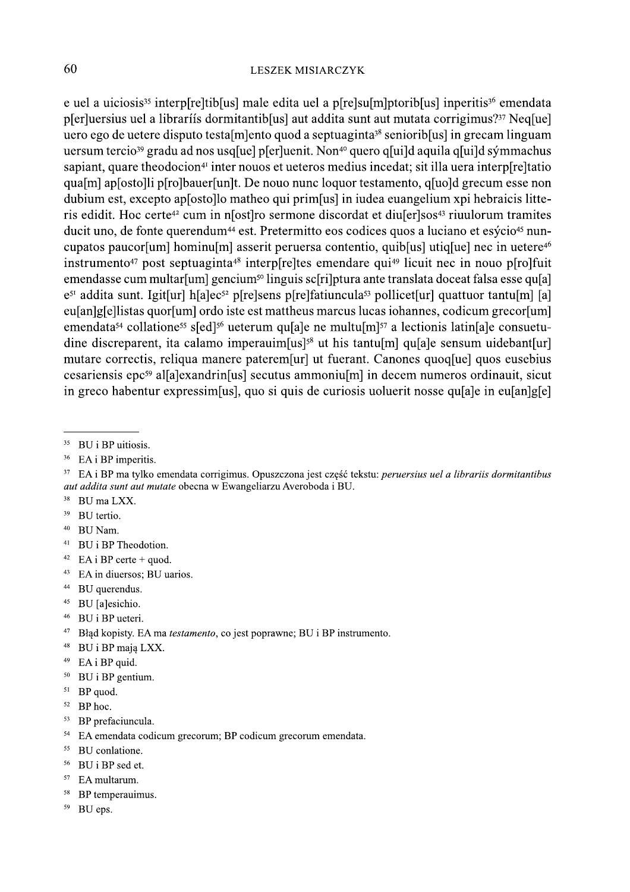e uel a uiciosis<sup>35</sup> interp[re]tib[us] male edita uel a p[re]su[m]ptorib[us] inperitis<sup>36</sup> emendata p[er]uersius uel a libraríís dormitantib[us] aut addita sunt aut mutata corrigimus?<sup>37</sup> Neq[ue] uero ego de uetere disputo testalmento quod a septuaginta<sup>38</sup> senioriblus in grecam linguam uersum tercio<sup>39</sup> gradu ad nos usq[ue] p[er]uenit. Non<sup>40</sup> quero q[ui]d aquila q[ui]d sýmmachus sapiant, quare theodocion<sup>41</sup> inter nouos et ueteros medius incedat; sit illa uera interp[re]tatio qua[m] ap[osto]li p[ro]bauer[un]t. De nouo nunc loquor testamento, q[uo]d grecum esse non dubium est, excepto aplostollo matheo qui primes in iudea euangelium xpi hebraicis litteris edidit. Hoc certe<sup>42</sup> cum in n[ost]ro sermone discordat et diu[er]sos<sup>43</sup> riuulorum tramites ducit uno, de fonte querendum<sup>44</sup> est. Pretermitto eos codices quos a luciano et esýcio<sup>45</sup> nuncupatos paucor[um] hominu[m] asserit peruersa contentio, quib[us] utiq[ue] nec in uetere<sup>46</sup> instrumento<sup>47</sup> post septuaginta<sup>48</sup> interp[re]tes emendare qui<sup>49</sup> licuit nec in nouo p[ro]fuit emendasse cum multar [um] gencium<sup>50</sup> linguis sc[ri]ptura ante translata doceat falsa esse qu[a]  $e^{5i}$  addita sunt. Igit[ur] h[a]ec<sup>52</sup> p[re]sens p[re]fatiuncula<sup>53</sup> pollicet[ur] quattuor tantu[m] [a] eu[an]g[e]listas quor[um] ordo iste est mattheus marcus lucas iohannes, codicum grecor[um] emendata<sup>54</sup> collatione<sup>55</sup> s[ed]<sup>56</sup> ueterum qu[a]e ne multu[m]<sup>57</sup> a lectionis latin[a]e consuetudine discreparent, ita calamo imperauim $[us]$ <sup>58</sup> ut his tantu $[m]$  qu $[a]$ e sensum uidebant $[ur]$ mutare correctis, reliqua manere paterem [ur] ut fuerant. Canones quoq [ue] quos eusebius cesariensis epc<sup>59</sup> al[a]exandrin[us] secutus ammoniu[m] in decem numeros ordinauit, sicut in greco habentur expressim [us], quo si quis de curiosis uoluerit nosse quale in eulangle]

- 38 BU ma LXX.
- 39 BU tertio.
- <sup>40</sup> BU Nam
- <sup>41</sup> BU i BP Theodotion.
- <sup>42</sup> EA i BP certe + quod.
- $43$ EA in diuersos; BU uarios.
- <sup>44</sup> BU querendus.
- <sup>45</sup> BU [a]esichio.
- <sup>46</sup> BU i BP ueteri.
- <sup>47</sup> Bład kopisty. EA ma testamento, co jest poprawne; BU i BP instrumento.
- <sup>48</sup> BU i BP mają LXX.
- <sup>49</sup> EA i BP quid.
- $50$  BU i BP gentium.
- <sup>51</sup> BP quod.
- <sup>52</sup> BP hoc.
- <sup>53</sup> BP prefaciuncula.
- <sup>54</sup> EA emendata codicum grecorum; BP codicum grecorum emendata.
- 55 BU conlatione.
- 56 BU i BP sed et.
- <sup>57</sup> EA multarum.
- <sup>58</sup> BP temperauimus.
- 59 BU eps.

 $35\,$ BU i BP uitiosis.

 $36\,$ EA i BP imperitis.

<sup>&</sup>lt;sup>37</sup> EA i BP ma tylko emendata corrigimus. Opuszczona jest część tekstu: peruersius uel a librariis dormitantibus aut addita sunt aut mutate obecna w Ewangeliarzu Averoboda i BU.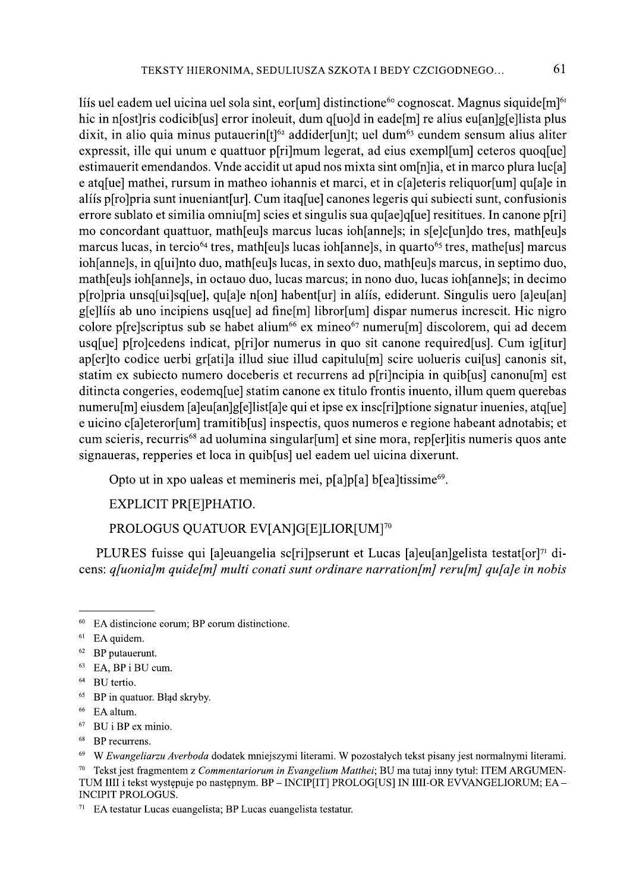lis uel eadem uel uicina uel sola sint, eorsum distinctione<sup>60</sup> cognoscat. Magnus siquide [m<sup>or</sup>] hic in n[ost]ris codicib[us] error inoleuit, dum q[uo]d in eade[m] re alius eu[an]g[e]lista plus dixit, in alio quia minus putauerin $[t]$ <sup>62</sup> addider[un]t; uel dum<sup>63</sup> eundem sensum alius aliter expressit, ille qui unum e quattuor p[ri]mum legerat, ad eius exempl[um] ceteros quoq[ue] estimauerit emendandos. Vnde accidit ut apud nos mixta sint om[n]ia, et in marco plura luc[a] e atq[ue] mathei, rursum in matheo iohannis et marci, et in c[a]eteris reliquor[um] qu[a]e in aliis p[ro]pria sunt inueniant[ur]. Cum itaq[ue] canones legeris qui subiecti sunt, confusionis errore sublato et similia omnium scies et singulis sua qualque resititues. In canone p[ri] mo concordant quattuor, mather algebra marcus lucas iohlannels; in slelclund tres, mather algebra mather marcus lucas, in tercio<sup>64</sup> tres, math[eu]s lucas ioh[anne]s, in quarto<sup>65</sup> tres, mathe[us] marcus ioh[anne]s, in q[ui]nto duo, math[eu]s lucas, in sexto duo, math[eu]s marcus, in septimo duo, math[eu]s ioh[anne]s, in octauo duo, lucas marcus; in nono duo, lucas ioh[anne]s; in decimo p[ro]pria unsq[ui]sq[ue], qu[a]e n[on] habent[ur] in aliis, ediderunt. Singulis uero [a]eu[an] g[e]lis ab uno incipiens usq[ue] ad fine[m] libror[um] dispar numerus increscit. Hic nigro colore p[re]scriptus sub se habet alium<sup>66</sup> ex mineo<sup>67</sup> numeru[m] discolorem, qui ad decem usq[ue] p[ro]cedens indicat, p[ri]or numerus in quo sit canone required[us]. Cum ig[itur] apserito codice uerbi griatila illud siue illud capituluimi scire uolueris cuifusi canonis sit, statim ex subiecto numero doceberis et recurrens ad p[ri]ncipia in quib[us] canonu[m] est ditincta congeries, eodemoluel statim canone ex titulo frontis inuento, illum quem querebas numerulm] eiusdem [a]eu[an]g[e]list[a]e qui et ipse ex insc[ri]ptione signatur inuenies, atq[ue] e uicino c[a]eteror[um] tramitib[us] inspectis, quos numeros e regione habeant adnotabis; et cum scieris, recurris<sup>68</sup> ad uolumina singular [um] et sine mora, rep[er]itis numeris quos ante signaueras, repperies et loca in quib[us] uel eadem uel uicina dixerunt.

Opto ut in xpo ualeas et memineris mei, p[a]p[a] b[ea]tissime<sup>69</sup>.

EXPLICIT PRIEIPHATIO.

# PROLOGUS QUATUOR EV[AN]G[E]LIOR[UM]<sup>70</sup>

PLURES fuisse qui [a]euangelia sc[ri]pserunt et Lucas [a]eu[an]gelista testat[or]71 dicens: *q[uonia]m quide[m] multi conati sunt ordinare narration[m] reru[m] qu[a]e in nobis* 

- 67 BU i BP ex minio.
- 68 BP recurrens.

<sup>&</sup>lt;sup>60</sup> EA distincione eorum; BP eorum distinctione.

 $61$  EA quidem.

 $62$  BP putauerunt.

 $63$  EA, BP i BU cum.

<sup>&</sup>lt;sup>64</sup> BU tertio.

<sup>&</sup>lt;sup>65</sup> BP in quatuor. Błąd skryby.

<sup>&</sup>lt;sup>66</sup> EA altum.

<sup>69</sup> W Ewangeliarzu Averboda dodatek mniejszymi literami. W pozostałych tekst pisany jest normalnymi literami.

Tekst jest fragmentem z Commentariorum in Evangelium Matthei; BU ma tutaj inny tytuł: ITEM ARGUMEN-70 TUM IIII i tekst występuje po następnym. BP – INCIP[IT] PROLOG[US] IN IIII-OR EVVANGELIORUM; EA – **INCIPIT PROLOGUS.** 

<sup>&</sup>lt;sup>71</sup> EA testatur Lucas euangelista; BP Lucas euangelista testatur.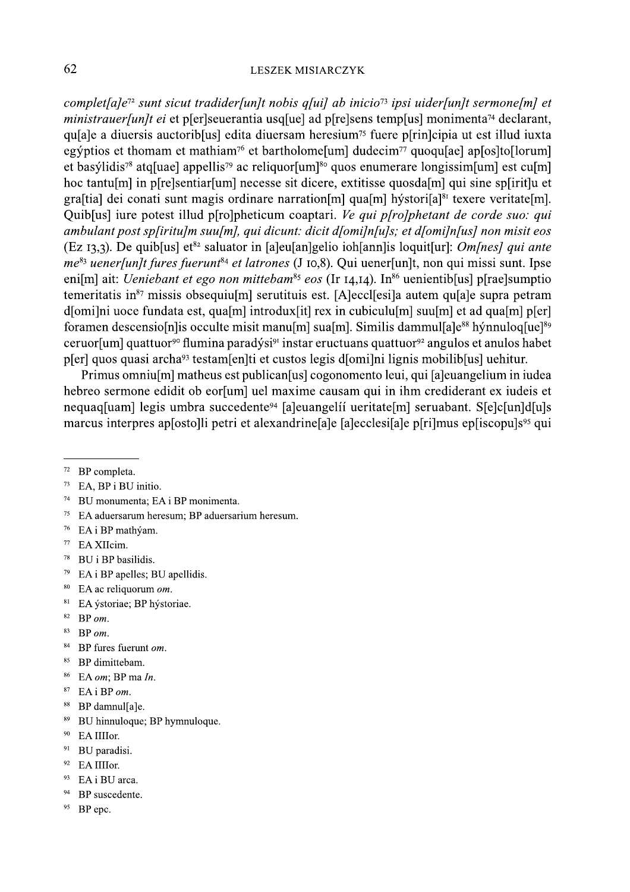#### **LESZEK MISIARCZYK**

complet [a]e<sup>72</sup> sunt sicut tradider [un]t nobis q[ui] ab inicio<sup>73</sup> ipsi uider [un]t sermone [m] et *ministrauer[un]t ei* et p[er]seuerantia usq[ue] ad p[re]sens temp[us] monimenta<sup>74</sup> declarant, quale a diuersis auctoribolus edita diuersam heresium<sup>75</sup> fuere plrinolation ut est illud iuxta egýptios et thomam et mathiam<sup>76</sup> et bartholome[um] dudecim<sup>77</sup> quoqu[ae] ap[os]to[lorum] et basýlidis<sup>78</sup> atq[uae] appellis<sup>79</sup> ac reliquor[um]<sup>80</sup> quos enumerare longissim[um] est cu[m] hoc tantulm in plines bends and necesse sit dicere, extitisse quosdalm qui sine splinitum et graftial dei conati sunt magis ordinare narration [m] qua [m] hystori [a] $^{81}$  texere veritate [m]. Quib[us] iure potest illud p[ro]pheticum coaptari. Ve qui p[ro]phetant de corde suo: qui ambulant post sp[iritu]m suu[m], qui dicunt: dicit d[omi]n[u]s; et d[omi]n[us] non misit eos (Ez 13,3). De quib[us] et<sup>82</sup> saluator in [a]eu[an]gelio ioh[ann]is loquit[ur]: *Om[nes] qui ante*  $me^{83}$  uenerfunlt fures fuerunt<sup>84</sup> et latrones (J 10,8). Qui uenerfunlt, non qui missi sunt. Ipse eni[m] ait: *Ueniebant et ego non mittebam<sup>85</sup> eos* (Ir 14,14). In<sup>86</sup> uenientib[us] p[rae]sumptio temeritatis in<sup>87</sup> missis obsequiu<sup>[m]</sup> serutituis est. [A]eccl[esi]a autem qu[a]e supra petram d[omi]ni uoce fundata est, qua[m] introdux[it] rex in cubiculu[m] suu[m] et ad qua[m] p[er] foramen descensio[n] is occulte misit manu[m] sua[m]. Similis dammul[a] $e^{88}$  hýnnuloq[ue]<sup>89</sup> ceruor [um] quattuor<sup>90</sup> flumina paradýsi<sup>91</sup> instar eructuans quattuor<sup>92</sup> angulos et anulos habet p[er] quos quasi archa<sup>93</sup> testam[en]ti et custos legis d[omi]ni lignis mobilib[us] uehitur.

Primus omniu<sup>[</sup>m] matheus est publican[us] cogonomento leui, qui [a]euangelium in iudea hebreo sermone edidit ob eor[um] uel maxime causam qui in ihm crediderant ex iudeis et nequaq[uam] legis umbra succedente<sup>94</sup> [a]euangelii ueritate[m] seruabant. S[e]c[un]d[u]s marcus interpres aplostolli petri et alexandrine ale la ecclesiale pluma epliscopuls<sup>95</sup> qui

- 74 BU monumenta; EA i BP monimenta.
- $75\,$ EA aduersarum heresum; BP aduersarium heresum.
- <sup>76</sup> EA i BP mathýam.
- 77 EA XIIcim.
- 78 BU i BP basilidis.
- $79\,$ EA i BP apelles; BU apellidis.
- $80$ EA ac reliquorum om.
- $81$ EA ýstoriae; BP hýstoriae.
- $82$  BP  $\textit{om}$ .
- $\bf 83$ BP om.
- 84 BP fures fuerunt om.
- 85 BP dimittebam.
- 86 EA om; BP ma In.
- $\sqrt{87}$  $EA$ i BP om.
- 88 BP damnul[a]e.
- $89\,$ BU hinnuloque; BP hymnuloque.
- $90\,$ EA IIIIor.
- $\mathbf{91}$ BU paradisi.
- 92 EA IIIIor.
- <sup>93</sup> EA i BU arca.
- <sup>94</sup> BP suscedente.
- 95 BP epc.

 $72$  BP completa.

 $73\,$ EA, BP i BU initio.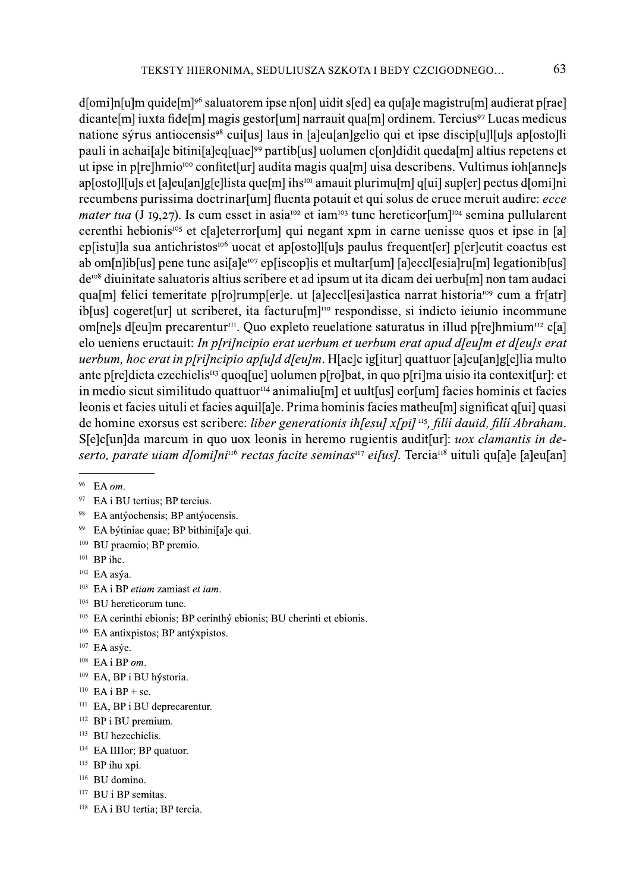$d$ [omi]n[u]m quide $[m]$ <sup>96</sup> saluatorem ipse n[on] uidit s[ed] ea qu[a]e magistru[m] audierat p[rae] dicante[m] iuxta fide[m] magis gestor[um] narrauit qua[m] ordinem. Tercius<sup>97</sup> Lucas medicus natione sýrus antiocensis<sup>98</sup> cuisus] laus in saleus angles qui et ipse discips ulles apsostolli pauli in achaisale bitinisales unael<sup>99</sup> partibous uolumen con didit queda [m] altius repetens et ut ipse in p[re]hmio<sup>100</sup> confitet[ur] audita magis qua[m] uisa describens. Vultimus ioh[anne]s apsostolliquis et saleusangelista que minis<sup>tor</sup> amauit plurimus qui supser pectus domini recumbens purissima doctrinar [um] fluenta potauit et qui solus de cruce meruit audire: ecce *mater tua* (J 19,27). Is cum esset in asia<sup>102</sup> et iam<sup>103</sup> tunc hereticor<sup>[um]<sup>104</sup> semina pullularent</sup> cerenthi hebionis<sup>105</sup> et c[a]eterror[um] qui negant xpm in carne uenisse quos et ipse in [a] ep[istu]la sua antichristos<sup>106</sup> uocat et ap[osto][[u]s paulus frequent[er] p[er]cutit coactus est ab om[n]ib[us] pene tunc asi[a] $e^{i\sigma}$  ep[iscop]is et multar[um] [a]eccl[esia]ru[m] legationib[us] de<sup>108</sup> diuinitate saluatoris altius scribere et ad ipsum ut ita dicam dei uerbu<sup>[m]</sup> non tam audaci qua[m] felici temeritate p[ro]rump[er]e. ut [a]eccl[esi]astica narrat historia<sup>109</sup> cum a fr[atr] ib[us] cogeret[ur] ut scriberet, ita facturu[m]<sup>110</sup> respondisse, si indicto ieiunio incommune om[ne]s d[eu]m precarentur<sup>111</sup>. Quo expleto reuelatione saturatus in illud p[re]hmium<sup>112</sup> c[a] elo ueniens eructauit: In p[ri]ncipio erat uerbum et uerbum erat apud d[eu]m et d[eu]s erat *uerbum, hoc erat in p[ri]ncipio ap[u]d d[eu]m.* H[ae]c ig[itur] quattuor [a]eu[an]g[e]lia multo ante p[re]dicta ezechielis<sup>113</sup> quoq[ue] uolumen p[ro]bat, in quo p[ri]ma uisio ita contexit[ur]: et in medio sicut similitudo quattuor<sup>114</sup> animaliu<sup>[m]</sup> et uult<sup>[us]</sup> eor<sup>[um]</sup> facies hominis et facies leonis et facies uituli et facies aquil[a]e. Prima hominis facies matheu[m] significat q[ui] quasi de homine exorsus est scribere: *liber generationis ih [esu]*  $x$ [pi]<sup>115</sup>, filii dauid, filii Abraham. S[e]c[un]da marcum in quo uox leonis in heremo rugientis audit[ur]: *uox clamantis in de*serto, parate uiam d[omi]ni<sup>116</sup> rectas facite seminas<sup>117</sup> ei[us]. Tercia<sup>118</sup> uituli qu[a]e [a]eu[an]

- <sup>98</sup> EA antýochensis; BP antýocensis.
- <sup>99</sup> EA býtiniae quae; BP bithini[a]e qui.
- <sup>100</sup> BU praemio: BP premio.
- $101$  BP ihc.
- $102$  EA asýa.
- $103$  EA i BP *etiam* zamiast *et iam*.
- <sup>104</sup> BU hereticorum tunc.
- <sup>105</sup> EA cerinthi ebionis; BP cerinthý ebionis; BU cherinti et ebionis.
- <sup>106</sup> EA antixpistos; BP antýxpistos.
- $107$  EA as ve.
- $108$  EA i BP om.
- <sup>109</sup> EA, BP i BU hýstoria.
- <sup>110</sup> EA i BP + se.
- <sup>111</sup> EA, BP i BU deprecarentur.
- <sup>112</sup> BP i BU premium.
- <sup>113</sup> BU hezechielis.
- <sup>114</sup> EA IIIIor; BP quatuor.
- $115$  BP ihu xpi.
- <sup>116</sup> BU domino.
- <sup>117</sup> BU i BP semitas.
- <sup>118</sup> EA i BU tertia: BP tercia.

<sup>&</sup>lt;sup>96</sup> EA om.

<sup>97</sup> EA i BU tertius; BP tercius.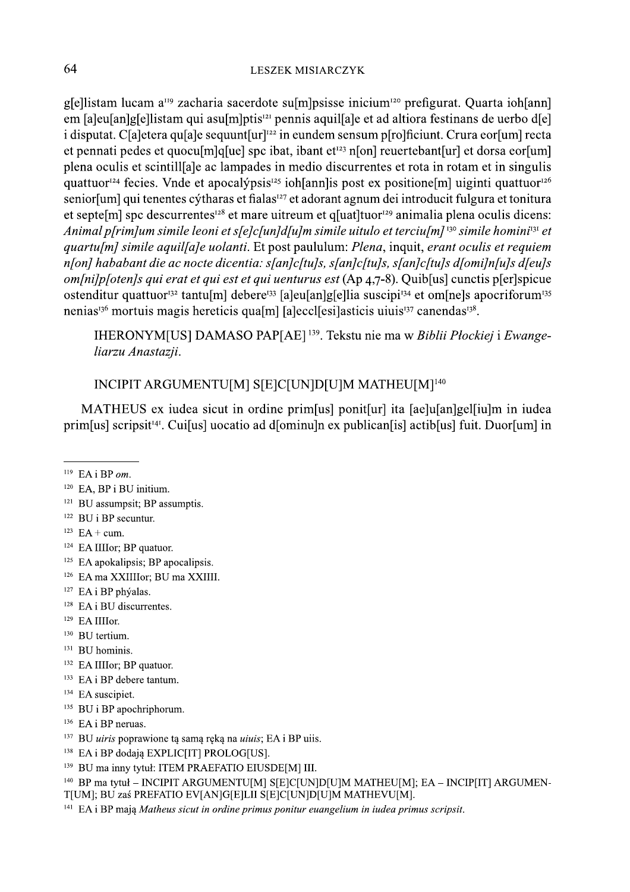g[e]listam lucam a<sup>119</sup> zacharia sacerdote su[m]psisse inicium<sup>120</sup> prefigurat. Quarta ioh[ann] em [a]eu[an]g[e]listam qui asu[m]ptis<sup>121</sup> pennis aquil[a]e et ad altiora festinans de uerbo d[e] i disputat. Claletera quiale sequunt url<sup>122</sup> in eundem sensum plrolficiunt. Crura eorlum recta et pennati pedes et quocu<sup>[m]</sup>q[ue] spc ibat, ibant et<sup>123</sup> n[on] reuertebant[ur] et dorsa eor[um] plena oculis et scintillale ac lampades in medio discurrentes et rota in rotam et in singulis quattuor<sup>124</sup> fecies. Vnde et apocal vpsis<sup>125</sup> ioh [ann] is post ex positione [m] uiginti quattuor<sup>126</sup> senior [um] qui tenentes cýtharas et fialas<sup>127</sup> et adorant agnum dei introducit fulgura et tonitura et septe[m] spc descurrentes<sup>128</sup> et mare uitreum et q[uat]tuor<sup>129</sup> animalia plena oculis dicens: Animal p[rim]um simile leoni et s[e]c[un]d[u]m simile uitulo et terciu[m]<sup>130</sup> simile homini<sup>131</sup> et quartu[m] simile aquil[a]e uolanti. Et post paululum: Plena, inquit, erant oculis et requiem n[on] hababant die ac nocte dicentia: s[an]c[tu]s, s[an]c[tu]s, s[an]c[tu]s d[omi]n[u]s d[eu]s *om[ni]p[oten]s qui erat et qui est et qui uenturus est* (Ap 4,7-8). Quib[us] cunctis p[er]spicue ostenditur quattuor<sup>132</sup> tantu[m] debere<sup>133</sup> [a]eu[an]g[e]lia suscipi<sup>134</sup> et om[ne]s apocriforum<sup>135</sup> nenias<sup>136</sup> mortuis magis hereticis qua[m] [a]eccl[esi]asticis uiuis<sup>137</sup> canendas<sup>138</sup>.

IHERONYM[US] DAMASO PAP[AE]<sup>139</sup>. Tekstu nie ma w Biblii Płockiej i Ewangeliarzu Anastazji.

# INCIPIT ARGUMENTU[M] S[E]C[UN]D[U]M MATHEU[M]<sup>140</sup>

MATHEUS ex iudea sicut in ordine prim[us] ponit[ur] ita [ae]u[an]gel[iu]m in iudea primular seripsit<sup>141</sup>. Cuilus uocatio ad diominuln ex publicaniis actibius fuit. Duorfum in

- <sup>121</sup> BU assumpsit; BP assumptis.
- $122$  BU i BP securitur.
- $123$  EA + cum.
- <sup>124</sup> EA IIIIor; BP quatuor.
- $125$  EA apokalipsis; BP apocalipsis.
- <sup>126</sup> EA ma XXIIIIor: BU ma XXIIII.
- <sup>127</sup> EA i BP phýalas.
- <sup>128</sup> EA i BU discurrentes.
- <sup>129</sup> EA IIIIor.
- <sup>130</sup> BU tertium.
- <sup>131</sup> BU hominis.
- <sup>132</sup> EA IIIIor; BP quatuor.
- <sup>133</sup> EA i BP debere tantum.
- <sup>134</sup> EA suscipiet.
- <sup>135</sup> BU i BP apochriphorum.
- <sup>136</sup> EA i BP neruas.
- <sup>137</sup> BU *uiris* poprawione tą samą ręką na *uiuis*; EA i BP uiis.
- <sup>138</sup> EA i BP dodają EXPLIC[IT] PROLOG[US].
- <sup>139</sup> BU ma inny tytuł: ITEM PRAEFATIO EIUSDE[M] III.

<sup>141</sup> EA i BP maia Matheus sicut in ordine primus ponitur euangelium in iudea primus scripsit.

 $^{119}$  EA i BP om.

<sup>&</sup>lt;sup>120</sup> EA, BP i BU initium.

<sup>&</sup>lt;sup>140</sup> BP ma tvtuł – INCIPIT ARGUMENTUIMI SIEICIUNIDIUIM MATHEUIMI: EA – INCIPIITI ARGUMEN-T[UM]; BU zaś PREFATIO EV[AN]G[E]LII S[E]C[UN]D[U]M MATHEVU[M].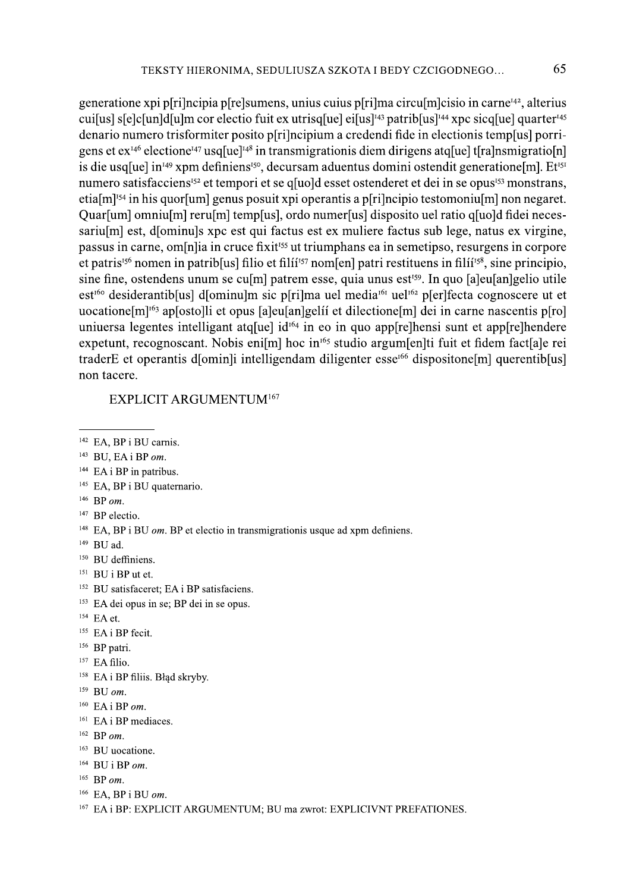generatione xpi p[ri]ncipia p[re]sumens, unius cuius p[ri]ma circu[m]cisio in carne<sup>142</sup>, alterius cui[us] s[e]c[un]d[u]m cor electio fuit ex utrisq[ue] ei[us]<sup>143</sup> patrib[us]<sup>144</sup> xpc sicq[ue] quarter<sup>145</sup> denario numero trisformiter posito p[ri]ncipium a credendi fide in electionis temp[us] porrigens et  $ex^{146}$  electione<sup>147</sup> usq[ue]<sup>148</sup> in transmigrationis diem dirigens atq[ue] t[ra]nsmigratio[n] is die usq[ue] in<sup>149</sup> xpm definiens<sup>150</sup>, decursam aduentus domini ostendit generatione[m]. Et<sup>151</sup> numero satisfacciens<sup>152</sup> et tempori et se q[uo]d esset ostenderet et dei in se opus<sup>153</sup> monstrans, etia $[m]$ <sup>154</sup> in his quor $[um]$  genus posuit xpi operantis a p $[ri]$ ncipio testomoniu $[m]$  non negaret. Quar[um] omniu[m] reru[m] temp[us], ordo numer[us] disposito uel ratio q[uo]d fidei necessariulm est, dominuls xpc est qui factus est ex muliere factus sub lege, natus ex virgine, passus in carne, om[n] ia in cruce fixit<sup>155</sup> ut triumphans ea in semetipso, resurgens in corpore et patris<sup>156</sup> nomen in patrib[us] filio et fili<sup>157</sup> nom[en] patri restituens in fili<sup>158</sup>, sine principio, sine fine, ostendens unum se cu<sup>[</sup>m] patrem esse, quia unus est<sup>159</sup>. In quo [a]eu[an]gelio utile est<sup>160</sup> desiderantib[us] d[ominu]m sic p[ri]ma uel media<sup>161</sup> uel<sup>162</sup> p[er]fecta cognoscere ut et uocatione [m]<sup>163</sup> ap [osto]li et opus [a] eu [an] geli et dilectione [m] dei in carne nascentis p[ro] uniuersa legentes intelligant atq[ue] id<sup>164</sup> in eo in quo app[re]hensi sunt et app[re]hendere expetunt, recognoscant. Nobis eni[m] hoc in<sup>165</sup> studio argum[en]ti fuit et fidem fact[a]e rei traderE et operantis d[omin]i intelligendam diligenter esse<sup>166</sup> dispositone[m] querentib[us] non tacere.

#### EXPLICIT ARGUMENTUM<sup>167</sup>

- <sup>142</sup> EA, BP i BU carnis.
- $143$  BU, EA i BP om.
- <sup>144</sup> EA i BP in patribus.
- <sup>145</sup> EA, BP i BU quaternario.
- $146$  BP om.
- <sup>147</sup> BP electio.
- <sup>148</sup> EA, BP i BU  $om$ . BP et electio in transmigrationis usque ad xpm definiens.
- $149$  BU ad.
- <sup>150</sup> BU deffiniens.
- $151$  BU i BP ut et.
- <sup>152</sup> BU satisfaceret: EA i BP satisfaciens.
- <sup>153</sup> EA dei opus in se: BP dei in se opus.
- <sup>154</sup> EA et.
- <sup>155</sup> EA i BP fecit.
- <sup>156</sup> BP patri.
- <sup>157</sup> EA filio.
- <sup>158</sup> EA i BP filiis. Błąd skryby.
- $159$  BU om.
- $160$  EA i BP om.
- <sup>161</sup> EA i BP mediaces.
- $162$  BP om.
- <sup>163</sup> BU uocatione.
- $164$  BU i BP om.
- $165$  BP om.
- $166$  EA, BP i BU om.
- <sup>167</sup> EA i BP: EXPLICIT ARGUMENTUM: BU ma zwrot: EXPLICIVNT PREFATIONES.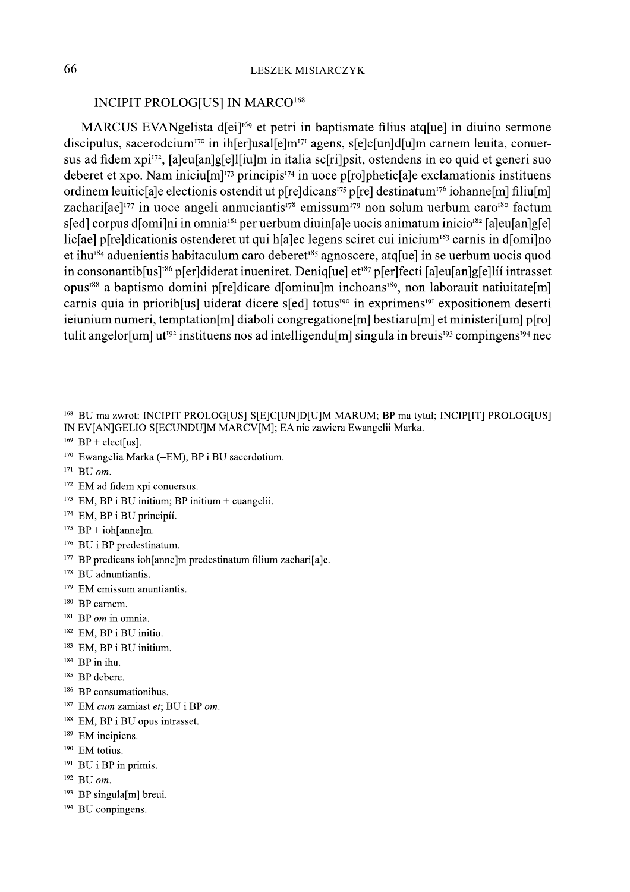## **INCIPIT PROLOG[US] IN MARCO<sup>168</sup>**

MARCUS EVANgelista d[ei]<sup>169</sup> et petri in baptismate filius atq[ue] in diuino sermone discipulus, sacerodcium<sup>170</sup> in ih[er]usal[e]m<sup>171</sup> agens, s[e]c[un]d[u]m carnem leuita, conuersus ad fidem xpi<sup>172</sup>, [a]eu[an]g[e]l[iu]m in italia sc[ri]psit, ostendens in eo quid et generi suo deberet et xpo. Nam iniciu $[m]^{173}$  principis<sup>174</sup> in uoce p[ro]phetic[a]e exclamationis instituens ordinem leuitic ale electionis ostendit ut plreldicans<sup>175</sup> plrel destinatum<sup>176</sup> iohanne [m] filiu [m] zachari[ae]<sup>177</sup> in uoce angeli annuciantis<sup>178</sup> emissum<sup>179</sup> non solum uerbum caro<sup>180</sup> factum s[ed] corpus d[omi]ni in omnia<sup>181</sup> per uerbum diuin[a]e uocis animatum inicio<sup>182</sup> [a]eu[an]g[e] licarel predicationis ostenderet ut qui halec legens sciret cui inicium<sup>183</sup> carnis in domilno et ihu<sup>184</sup> aduenientis habitaculum caro deberet<sup>185</sup> agnoscere, atq[ue] in se uerbum uocis quod in consonantib[us]<sup>186</sup> p[er]diderat inueniret. Deniq[ue] et<sup>187</sup> p[er]fecti [a]eu[an]g[e]líí intrasset opus<sup>188</sup> a baptismo domini p[re]dicare d[ominu]m inchoans<sup>189</sup>, non laborauit natiuitate[m] carnis quia in priorib[us] uiderat dicere s[ed] totus<sup>190</sup> in exprimens<sup>191</sup> expositionem deserti iejunium numeri, temptation [m] diaboli congregatione [m] bestiaru [m] et ministeri [um] p[ro] tulit angelor[um]  $ut^{192}$  instituens nos ad intelligendu[m] singula in breus<sup>193</sup> compingens<sup>194</sup> nec

- $171$  BU om.
- <sup>172</sup> EM ad fidem xpi conuersus.
- <sup>173</sup> EM, BP i BU initium; BP initium + euangelii.
- <sup>174</sup> EM, BP i BU principíí.
- <sup>175</sup> BP + ioh[anne]m.
- <sup>176</sup> BU i BP predestinatum.
- $177$  BP predicans ioh[anne]m predestinatum filium zachari[a]e.
- <sup>178</sup> BU adnuntiantis.
- $179$  EM emissum anuntiantis.
- <sup>180</sup> BP carnem.
- $181$  BP *om* in omnia.
- <sup>182</sup> EM, BP i BU initio.
- <sup>183</sup> EM, BP i BU initium.
- <sup>184</sup> BP in ihu.
- <sup>185</sup> BP debere.
- <sup>186</sup> BP consumationibus.
- <sup>187</sup> EM cum zamiast et; BU i BP om.
- <sup>188</sup> EM, BP i BU opus intrasset.
- <sup>189</sup> EM incipiens.
- <sup>190</sup> EM totius.
- $191$  BU i BP in primis.
- $192$  BU om.
- <sup>193</sup> BP singula[m] breui.
- <sup>194</sup> BU conpingens.

<sup>&</sup>lt;sup>168</sup> BU ma zwrot: INCIPIT PROLOG[US] S[E]C[UN]D[U]M MARUM; BP ma tytuł; INCIP[IT] PROLOG[US] IN EV[AN]GELIO S[ECUNDU]M MARCV[M]; EA nie zawiera Ewangelii Marka.

<sup>&</sup>lt;sup>169</sup> BP + elect[us].

<sup>&</sup>lt;sup>170</sup> Ewangelia Marka (=EM), BP i BU sacerdotium.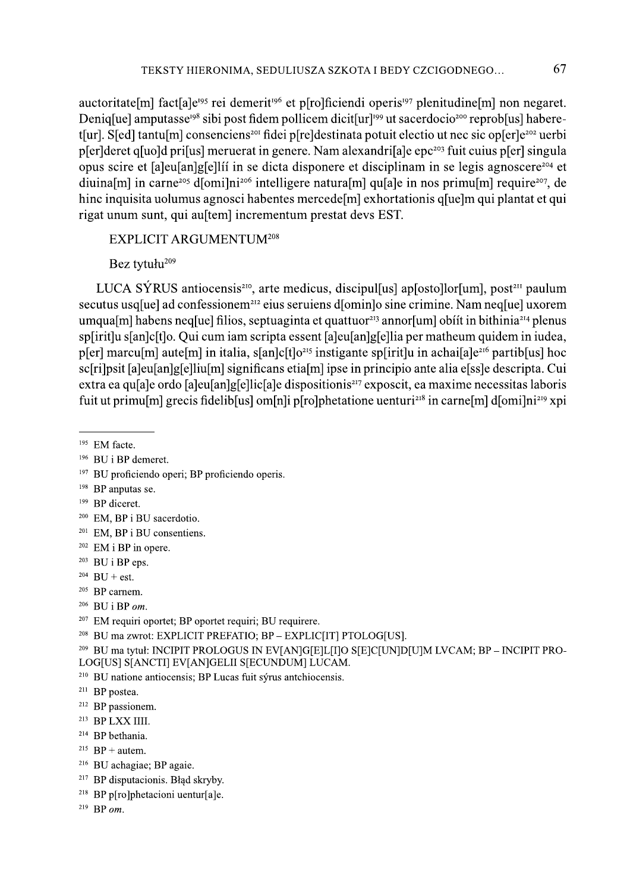TEKSTY HIERONIMA, SEDULIUSZA SZKOTA I BEDY CZCIGODNEGO... 67<br>auctoritate[m] fact[a]e<sup>03</sup> rei demerit<sup>196</sup> et p[ro]ficiendi operis<sup>197</sup> plenitudine[m] non negaret.<br>Deniq[ue] amputasse<sup>036</sup> sibi post fidem pollicem dicit[ur rigat unum sunt, qui austem incrementum prestat devs EST.

# $EXPLICIT ARGUMENTUM<sup>208</sup>$

Bez tytułu<sup>209</sup>

LUCA SYRUS antiocensis<sup>210</sup>, arte medicus, discipul[us] ap[osto]lor[um], post<sup>211</sup> paulum secutus usq[ue] ad confessionem<sup>212</sup> eius seruiens d[omin]o sine crimine. Nam neq[ue] uxorem umqua[m] habens neq[ue] filios, septuaginta et quattuor<sup>213</sup> annor[um] obiit in bithinia<sup>214</sup> plenus sp[irit]u s[an]c[t]o. Qui cum iam scripta essent [a]eu[an]g[e]lia per matheum quidem in iudea, p[er] marcu[m] aute[m] in italia, s[an]c[t]o<sup>215</sup> instigante sp[irit]u in achai[a]e<sup>216</sup> partib[us] hoc sc[ri]psit [a]eu[an]g[e]liu[m] significans etia[m] ipse in principio ante alia e[ss]e descripta. Cui extra ea qu<sup>[</sup>a]e ordo [a]eu[an]g[e]lic[a]e dispositionis<sup>217</sup> exposcit, ea maxime necessitas laboris fuit ut primulml grecis fideliblusl ominli pirolphetatione uenturi<sup>218</sup> in carnelml diomilni<sup>219</sup> xpi

- <sup>199</sup> BP diceret.
- <sup>200</sup> EM, BP i BU sacerdotio.
- <sup>201</sup> EM, BP i BU consentiens.
- $202$  EM i BP in opere.
- $203$  BU i BP eps.
- $204$  BU + est.
- $205$  BP carnem.
- $206$  BU i BP om.
- $207$  EM requiri oportet; BP oportet requiri; BU requirere.
- <sup>208</sup> BU ma zwrot: EXPLICIT PREFATIO; BP EXPLIC[IT] PTOLOG[US].
- $\frac{209}{100}$  BU ma tytuł: INCIPIT PROLOGUS IN EV[AN]G[E]L[I]O S[E]C[UN]D[U]M LVCAM; BP INCIPIT PRO-LOG[US] S[ANCTI] EV[AN]GELII S[ECUNDUM] LUCAM.
- <sup>210</sup> BU natione antiocensis; BP Lucas fuit sýrus antchiocensis.
- $211$  BP postea.
- <sup>212</sup> BP passionem.
- $213$  BP LXX IIII.
- <sup>214</sup> BP bethania.
- <sup>215</sup>  $BP +$  autem.
- <sup>216</sup> BU achagiae; BP agaie.
- <sup>217</sup> BP disputacionis. Błąd skryby.
- <sup>218</sup> BP p[ro]phetacioni uentur[a]e.<br><sup>219</sup> BP *om*. <sup>213</sup> BP LXX IIII.<br><sup>214</sup> BP bethania.<br><sup>215</sup> BP + autem.<br><sup>216</sup> BU achagiae; BP agaie.<br><sup>217</sup> BP disputacionis. Błąd skryl<br><sup>218</sup> BP p[ro]phetacioni uentur[a<br><sup>219</sup> BP *om*.
	-

 $195$  EM facte.

<sup>&</sup>lt;sup>196</sup> BU i BP demeret.

<sup>&</sup>lt;sup>197</sup> BU proficiendo operi; BP proficiendo operis.

 $198$  BP anputas se.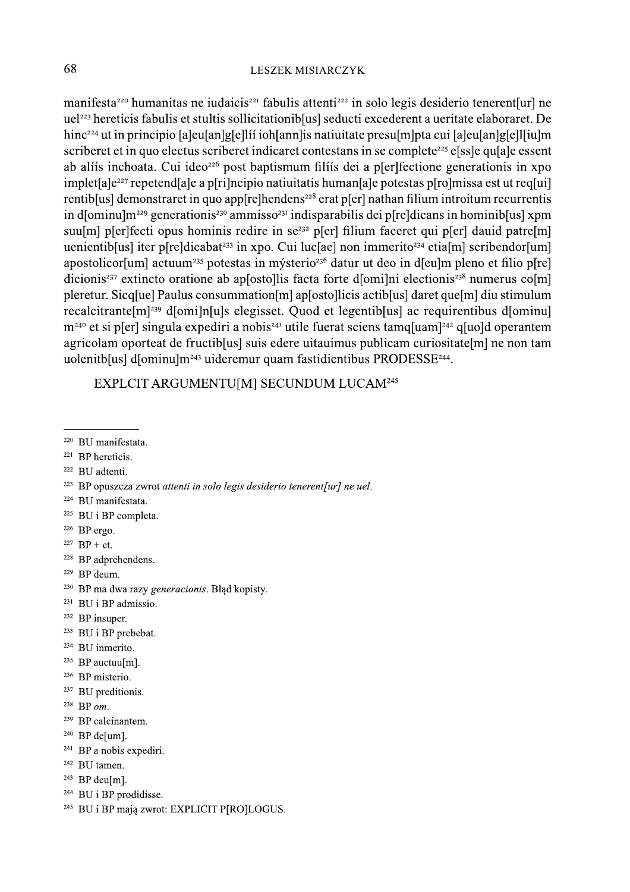manifesta<sup>220</sup> humanitas ne iudaicis<sup>221</sup> fabulis attenti<sup>222</sup> in solo legis desiderio tenerent[ur] ne uel<sup>223</sup> hereticis fabulis et stultis sollicitationib[us] seducti excederent a ueritate elaboraret. De hinc<sup>224</sup> ut in principio [a]eu[an]g[e]lii ioh[ann]is natiuitate presu[m]pta cui [a]eu[an]g[e]l[iu]m scriberet et in quo electus scriberet indicaret contestans in se complete<sup>225</sup> elss le quale essent ab alíís inchoata. Cui ideo<sup>226</sup> post baptismum filíís dei a p[er]fectione generationis in xpo implet [a] e<sup>227</sup> repetend [a] e a p[ri] neipio natiuitatis human [a] e potestas p[ro] missa est ut req[ui] rentiblus] demonstraret in quo applies helpendens<sup>228</sup> erat pler nathan filium introitum recurrentis in d[ominu] $m^{229}$  generationis<sup>230</sup> ammisso<sup>231</sup> indisparabilis dei p[re]dicans in hominib[us] xpm suu[m] p[er]fecti opus hominis redire in se<sup>232</sup> p[er] filium faceret qui p[er] dauid patre[m] uenientib[us] iter p[re]dicabat<sup>233</sup> in xpo. Cui luc[ae] non immerito<sup>234</sup> etia[m] scribendor[um] apostolicor<sup>[um]</sup> actuum<sup>235</sup> potestas in mýsterio<sup>236</sup> datur ut deo in d[eu]m pleno et filio p[re] dicionis<sup>237</sup> extincto oratione ab apsostollis facta forte d[omi]ni electionis<sup>238</sup> numerus co[m] pleretur. Sicq[ue] Paulus consummation[m] ap[osto]licis actib[us] daret que[m] diu stimulum recalcitrante [m]<sup>239</sup> d[omi]n[u]s elegisset. Quod et legentib[us] ac requirentibus d[ominu]  $m^{240}$  et si p[er] singula expediri a nobis<sup>241</sup> utile fuerat sciens tamq[uam]<sup>242</sup> q[uo]d operantem agricolam oporteat de fructib[us] suis edere uitauimus publicam curiositate[m] ne non tam uolenitb[us] d[ominu]m<sup>243</sup> uideremur quam fastidientibus PRODESSE<sup>244</sup>.

EXPLCIT ARGUMENTU[M] SECUNDUM LUCAM<sup>245</sup>

- <sup>221</sup> BP hereticis.
- <sup>222</sup> BU adtenti.
- <sup>223</sup> BP opuszcza zwrot attenti in solo legis desiderio tenerent[ur] ne uel.
- <sup>224</sup> BU manifestata.
- <sup>225</sup> BU i BP completa.
- $226$  BP ergo.
- <sup>227</sup> BP + et.
- <sup>228</sup> BP adprehendens.
- <sup>229</sup> BP deum.
- <sup>230</sup> BP ma dwa razy generacionis. Błąd kopisty.
- <sup>231</sup> BU i BP admissio.
- <sup>232</sup> BP insuper.
- <sup>233</sup> BU i BP prebebat.
- <sup>234</sup> BU inmerito.
- <sup>235</sup> BP auctuu[m].
- <sup>236</sup> BP misterio.
- <sup>237</sup> BU preditionis.
- $238$  BP om.
- <sup>239</sup> BP calcinantem.
- $240$  BP de[um].
- $241$  BP a nobis expediri.
- <sup>242</sup> BU tamen.
- $243$  BP deu[m].
- <sup>244</sup> BU i BP prodidisse.
- <sup>245</sup> BU i BP maja zwrot: EXPLICIT P[RO]LOGUS.

<sup>&</sup>lt;sup>220</sup> BU manifestata.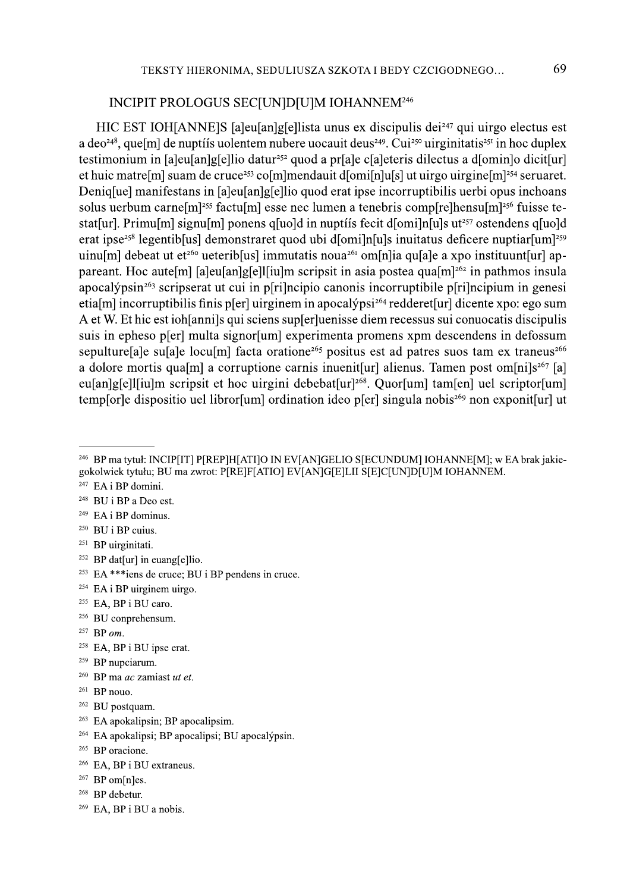## INCIPIT PROLOGUS SEC[UN]D[U]M IOHANNEM<sup>246</sup>

HIC EST IOH[ANNE]S [a]eu[an]g[e]lista unus ex discipulis dei<sup>247</sup> qui uirgo electus est a deo<sup>248</sup>, que[m] de nuptíís uolentem nubere uocauit deus<sup>249</sup>. Cui<sup>250</sup> uirginitatis<sup>251</sup> in hoc duplex testimonium in [a]eu[an]g[e]lio datur<sup>252</sup> quod a pr[a]e c[a]eteris dilectus a d[omin]o dicit[ur] et huic matre [m] suam de cruce<sup>253</sup> co [m] mendauit d[omi[n] u[s] ut uirgo uirgine [m]<sup>254</sup> seruaret. Denigluel manifestans in [aleu[an]g[e]lio quod erat ipse incorruptibilis uerbi opus inchoans solus uerbum carne [m]<sup>255</sup> factu [m] esse nec lumen a tenebris comp [re]hensu [m]<sup>256</sup> fuisse testat[ur]. Primu[m] signu[m] ponens q[uo]d in nuptifs fecit d[omi]n[u]s ut<sup>257</sup> ostendens q[uo]d erat ipse<sup>258</sup> legentib<sup>[</sup>us] demonstraret quod ubi d[omi]n[u]s inuitatus deficere nuptiar[um]<sup>259</sup> uinu[m] debeat ut et<sup>260</sup> ueterib[us] immutatis noua<sup>261</sup> om[n]ia qu[a]e a xpo instituunt[ur] appareant. Hoc aute [m] [a]eu[an]g[e]l[iu]m scripsit in asia postea qua [m]<sup>262</sup> in pathmos insula apocalýpsin<sup>263</sup> scripserat ut cui in p[ri]ncipio canonis incorruptibile p[ri]ncipium in genesi etia[m] incorruptibilis finis p[er] uirginem in apocalýpsi<sup>264</sup> redderet[ur] dicente xpo: ego sum A et W. Et hic est iohlannils qui sciens supfer luenisse diem recessus sui convocatis discipulis suis in epheso p[er] multa signor[um] experimenta promens xpm descendens in defossum sepulture[a]e su[a]e locu[m] facta oratione<sup>265</sup> positus est ad patres suos tam ex traneus<sup>266</sup> a dolore mortis qualm a corruptione carnis inuenit url alienus. Tamen post om [ni]s<sup>267</sup> [a] eu[an]g[e]][iu]m scripsit et hoc uirgini debebat[ur]<sup>268</sup>. Ouor[um] tam[en] uel scriptor[um] templor le dispositio uel libror [um] ordination ideo pler singula nobis<sup>269</sup> non exponit [ur] ut

- $249$  EA i BP dominus.
- <sup>250</sup> BU i BP cuius.
- <sup>251</sup> BP uirginitati.
- <sup>252</sup> BP dat[ur] in euang[e]lio.
- <sup>253</sup> EA \*\*\*iens de cruce; BU i BP pendens in cruce.
- $254$  EA i BP uirginem uirgo.
- <sup>255</sup> EA, BP i BU caro.
- <sup>256</sup> BU conprehensum.
- $257$  BP om.
- <sup>258</sup> EA, BP i BU ipse erat.
- <sup>259</sup> BP nupciarum.
- $260$  BP ma *ac* zamiast *ut et*.
- <sup>261</sup> BP nouo.
- <sup>262</sup> BU postquam.
- <sup>263</sup> EA apokalipsin; BP apocalipsim.
- <sup>264</sup> EA apokalipsi; BP apocalipsi; BU apocalýpsin.
- <sup>265</sup> BP oracione.
- <sup>266</sup> EA, BP i BU extraneus.
- $267$  BP om[n]es.
- <sup>268</sup> BP debetur.
- $269$  EA, BP i BU a nobis.

<sup>&</sup>lt;sup>246</sup> BP ma tytuł: INCIP[IT] P[REP]H[ATI]O IN EV[AN]GELIO S[ECUNDUM] IOHANNE[M]; w EA brak jakiegokolwiek tytułu; BU ma zwrot: P[RE]F[ATIO] EV[AN]G[E]LII S[E]C[UN]D[U]M IOHANNEM.

<sup>&</sup>lt;sup>247</sup> EA i BP domini.

 $248$  BU i BP a Deo est.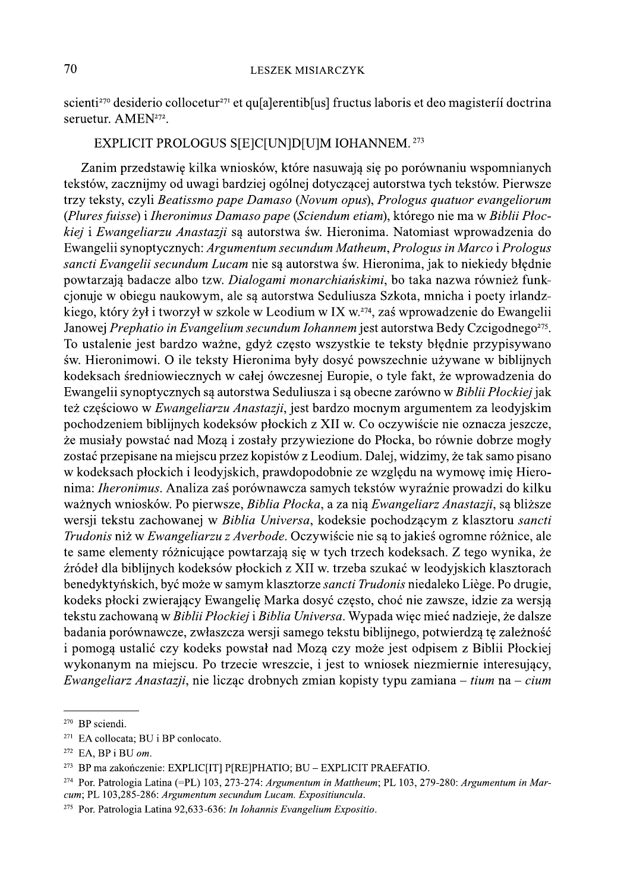scienti<sup>270</sup> desiderio collocetur<sup>271</sup> et quale rentiblus fructus laboris et deo magisterii doctrina seruetur. AMEN<sup>272</sup>.

### EXPLICIT PROLOGUS S[E]C[UN]D[U]M IOHANNEM.<sup>273</sup>

Zanim przedstawię kilka wniosków, które nasuwają się po porównaniu wspomnianych tekstów, zacznijmy od uwagi bardziej ogólnej dotyczącej autorstwa tych tekstów. Pierwsze trzy teksty, czyli Beatissmo pape Damaso (Novum opus), Prologus quatuor evangeliorum (Plures fuisse) i Iheronimus Damaso pape (Sciendum etiam), którego nie ma w Biblii Płockiej i Ewangeliarzu Anastazji są autorstwa św. Hieronima. Natomiast wprowadzenia do Ewangelii synoptycznych: Argumentum secundum Matheum, Prologus in Marco i Prologus sancti Evangelii secundum Lucam nie są autorstwa św. Hieronima, jak to niekiedy błędnie powtarzają badacze albo tzw. Dialogami monarchiańskimi, bo taka nazwa również funkcionuje w obiegu naukowym, ale są autorstwa Seduliusza Szkota, mnicha i poety irlandzkiego, który żył i tworzył w szkole w Leodium w IX w.<sup>274</sup>, zaś wprowadzenie do Ewangelii Janowej Prephatio in Evangelium secundum Iohannem jest autorstwa Bedy Czcigodnego<sup>275</sup>. To ustalenie jest bardzo ważne, gdyż często wszystkie te teksty błędnie przypisywano św. Hieronimowi. O ile teksty Hieronima były dosyć powszechnie używane w biblijnych kodeksach średniowiecznych w całej ówczesnej Europie, o tyle fakt, że wprowadzenia do Ewangelii synoptycznych są autorstwa Seduliusza i są obecne zarówno w Biblii Płockiej jak też częściowo w Ewangeliarzu Anastazji, jest bardzo mocnym argumentem za leodyjskim pochodzeniem biblijnych kodeksów płockich z XII w. Co oczywiście nie oznacza jeszcze, że musiały powstać nad Mozą i zostały przywiezione do Płocka, bo równie dobrze mogły zostać przepisane na miejscu przez kopistów z Leodium. Dalej, widzimy, że tak samo pisano w kodeksach płockich i leodyjskich, prawdopodobnie ze względu na wymowę imię Hieronima: Iheronimus. Analiza zaś porównawcza samych tekstów wyraźnie prowadzi do kilku ważnych wniosków. Po pierwsze, Biblia Płocka, a za nią Ewangeliarz Anastazji, są bliższe wersji tekstu zachowanej w Biblia Universa, kodeksie pochodzącym z klasztoru sancti Trudonis niż w Ewangeliarzu z Averbode. Oczywiście nie są to jakieś ogromne różnice, ale te same elementy różnicujące powtarzają się w tych trzech kodeksach. Z tego wynika, że źródeł dla biblijnych kodeksów płockich z XII w. trzeba szukać w leodyjskich klasztorach benedyktyńskich, być może w samym klasztorze sancti Trudonis niedaleko Liège. Po drugie, kodeks płocki zwierający Ewangelię Marka dosyć często, choć nie zawsze, idzie za wersją tekstu zachowaną w Biblii Płockiej i Biblia Universa. Wypada więc mieć nadzieje, że dalsze badania porównawcze, zwłaszcza wersji samego tekstu biblijnego, potwierdzą tę zależność i pomogą ustalić czy kodeks powstał nad Mozą czy może jest odpisem z Biblii Płockiej wykonanym na miejscu. Po trzecie wreszcie, i jest to wniosek niezmiernie interesujący, *Ewangeliarz Anastazji*, nie licząc drobnych zmian kopisty typu zamiana – *tium* na – *cium* 

<sup>&</sup>lt;sup>270</sup> BP sciendi.

<sup>&</sup>lt;sup>271</sup> EA collocata; BU i BP conlocato.

 $272$  EA, BP i BU om.

<sup>&</sup>lt;sup>273</sup> BP ma zakończenie: EXPLIC[IT] P[RE]PHATIO; BU – EXPLICIT PRAEFATIO.

<sup>&</sup>lt;sup>274</sup> Por. Patrologia Latina (=PL) 103, 273-274: Argumentum in Mattheum; PL 103, 279-280: Argumentum in Marcum; PL 103,285-286: Argumentum secundum Lucam. Expositiuncula.

<sup>&</sup>lt;sup>275</sup> Por. Patrologia Latina 92,633-636: In Iohannis Evangelium Expositio.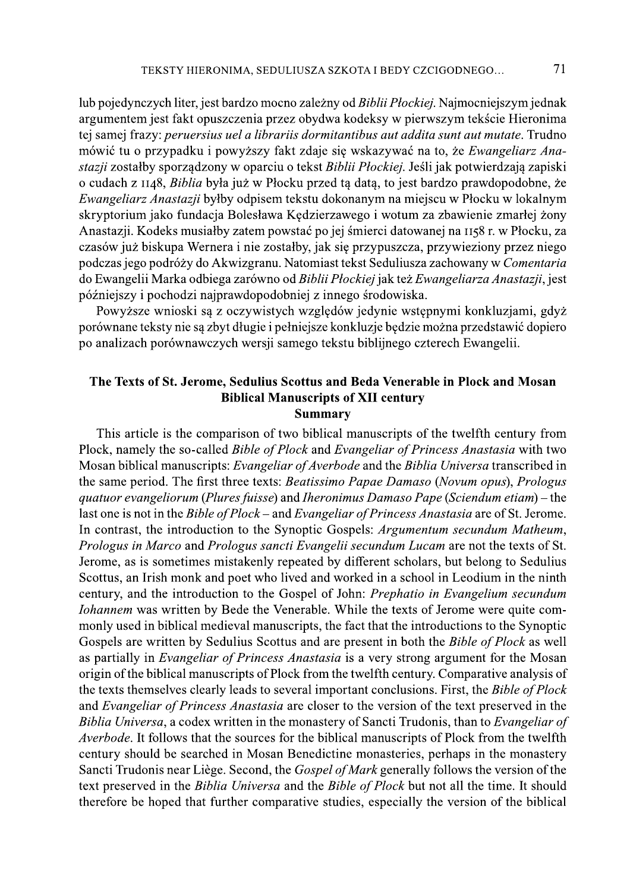lub pojedynczych liter, jest bardzo mocno zależny od Biblii Płockiej. Najmocniejszym jednak argumentem jest fakt opuszczenia przez obydwa kodeksy w pierwszym tekście Hieronima tej samej frazy: peruersius uel a librariis dormitantibus aut addita sunt aut mutate. Trudno mówić tu o przypadku i powyższy fakt zdaje się wskazywać na to, że Ewangeliarz Anastazji zostałby sporządzony w oparciu o tekst Biblii Płockiej. Jeśli jak potwierdzają zapiski o cudach z 1148, Biblia była już w Płocku przed tą datą, to jest bardzo prawdopodobne, że Ewangeliarz Anastazji byłby odpisem tekstu dokonanym na miejscu w Płocku w lokalnym skryptorium jako fundacja Bolesława Kędzierzawego i wotum za zbawienie zmarłej żony Anastazji. Kodeks musiałby zatem powstać po jej śmierci datowanej na 1158 r. w Płocku, za czasów już biskupa Wernera i nie zostałby, jak się przypuszcza, przywieziony przez niego podczas jego podróży do Akwizgranu. Natomiast tekst Seduliusza zachowany w Comentaria do Ewangelii Marka odbiega zarówno od Biblii Płockiej jak też Ewangeliarza Anastazji, jest późniejszy i pochodzi najprawdopodobniej z innego środowiska.

Powyższe wnioski są z oczywistych względów jedynie wstępnymi konkluzjami, gdyż porównane teksty nie są zbyt długie i pełniejsze konkluzje będzie można przedstawić dopiero po analizach porównawczych wersji samego tekstu biblijnego czterech Ewangelii.

### The Texts of St. Jerome, Sedulius Scottus and Beda Venerable in Plock and Mosan **Biblical Manuscripts of XII century Summary**

This article is the comparison of two biblical manuscripts of the twelfth century from Plock, namely the so-called *Bible of Plock* and *Evangeliar of Princess Anastasia* with two Mosan biblical manuscripts: Evangeliar of Averbode and the Biblia Universa transcribed in the same period. The first three texts: Beatissimo Papae Damaso (Novum opus), Prologus quatuor evangeliorum (Plures fuisse) and Iheronimus Damaso Pape (Sciendum etiam) – the last one is not in the *Bible of Plock* – and *Evangeliar of Princess Anastasia* are of St. Jerome. In contrast, the introduction to the Synoptic Gospels: Argumentum secundum Matheum, Prologus in Marco and Prologus sancti Evangelii secundum Lucam are not the texts of St. Jerome, as is sometimes mistakenly repeated by different scholars, but belong to Sedulius Scottus, an Irish monk and poet who lived and worked in a school in Leodium in the ninth century, and the introduction to the Gospel of John: Prephatio in Evangelium secundum Iohannem was written by Bede the Venerable. While the texts of Jerome were quite commonly used in biblical medieval manuscripts, the fact that the introductions to the Synoptic Gospels are written by Sedulius Scottus and are present in both the Bible of Plock as well as partially in *Evangeliar of Princess Anastasia* is a very strong argument for the Mosan origin of the biblical manuscripts of Plock from the twelfth century. Comparative analysis of the texts themselves clearly leads to several important conclusions. First, the Bible of Plock and Evangeliar of Princess Anastasia are closer to the version of the text preserved in the Biblia Universa, a codex written in the monastery of Sancti Trudonis, than to Evangeliar of Averbode. It follows that the sources for the biblical manuscripts of Plock from the twelfth century should be searched in Mosan Benedictine monasteries, perhaps in the monastery Sancti Trudonis near Liège. Second, the *Gospel of Mark* generally follows the version of the text preserved in the Biblia Universa and the Bible of Plock but not all the time. It should therefore be hoped that further comparative studies, especially the version of the biblical